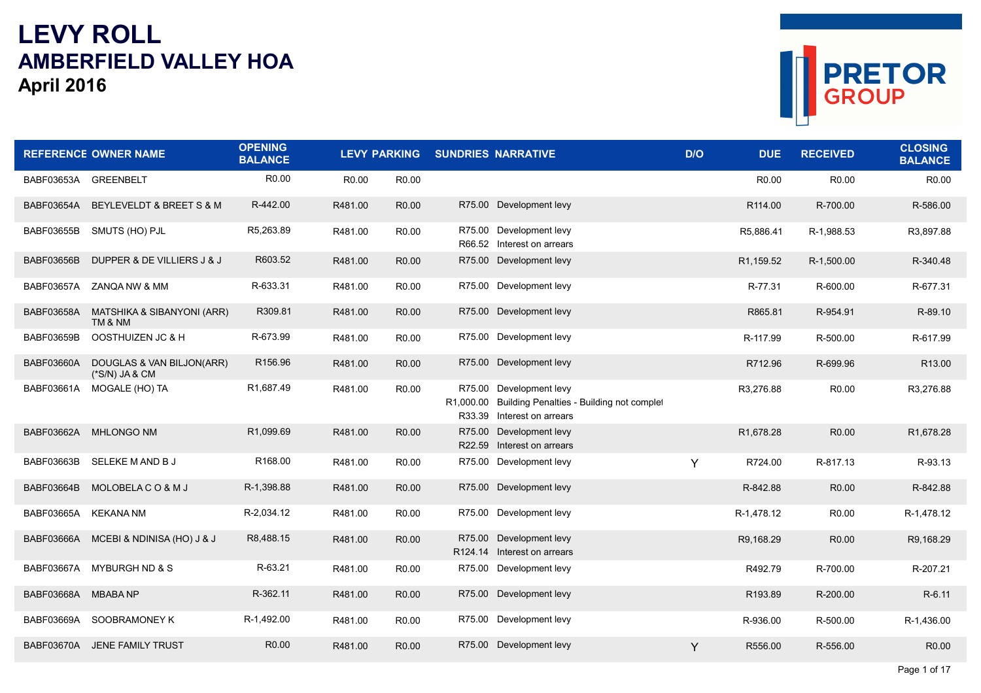## **LEVY ROLL AMBERFIELD VALLEY HOAApril <sup>2016</sup>**



|                   | <b>REFERENCE OWNER NAME</b>                   | <b>OPENING</b><br><b>BALANCE</b> | <b>LEVY PARKING</b> |                   | <b>SUNDRIES NARRATIVE</b>                                                                                    | D/O | <b>DUE</b>              | <b>RECEIVED</b>   | <b>CLOSING</b><br><b>BALANCE</b> |
|-------------------|-----------------------------------------------|----------------------------------|---------------------|-------------------|--------------------------------------------------------------------------------------------------------------|-----|-------------------------|-------------------|----------------------------------|
| BABF03653A        | <b>GREENBELT</b>                              | R <sub>0.00</sub>                | R <sub>0.00</sub>   | R <sub>0.00</sub> |                                                                                                              |     | R <sub>0.00</sub>       | R <sub>0.00</sub> | R <sub>0.00</sub>                |
| BABF03654A        | BEYLEVELDT & BREET S & M                      | R-442.00                         | R481.00             | R <sub>0.00</sub> | R75.00 Development levy                                                                                      |     | R <sub>114.00</sub>     | R-700.00          | R-586.00                         |
| BABF03655B        | SMUTS (HO) PJL                                | R5,263.89                        | R481.00             | R <sub>0.00</sub> | R75.00 Development levy<br>R66.52 Interest on arrears                                                        |     | R5,886.41               | R-1,988.53        | R3,897.88                        |
| <b>BABF03656B</b> | DUPPER & DE VILLIERS J & J                    | R603.52                          | R481.00             | R <sub>0.00</sub> | R75.00 Development levy                                                                                      |     | R <sub>1</sub> , 159.52 | R-1,500.00        | R-340.48                         |
| BABF03657A        | ZANQA NW & MM                                 | R-633.31                         | R481.00             | R0.00             | R75.00 Development levy                                                                                      |     | R-77.31                 | R-600.00          | R-677.31                         |
| <b>BABF03658A</b> | MATSHIKA & SIBANYONI (ARR)<br>TM & NM         | R309.81                          | R481.00             | R0.00             | R75.00 Development levy                                                                                      |     | R865.81                 | R-954.91          | R-89.10                          |
| BABF03659B        | OOSTHUIZEN JC & H                             | R-673.99                         | R481.00             | R <sub>0.00</sub> | R75.00 Development levy                                                                                      |     | R-117.99                | R-500.00          | R-617.99                         |
| <b>BABF03660A</b> | DOUGLAS & VAN BILJON(ARR)<br>$(*S/N)$ JA & CM | R156.96                          | R481.00             | R <sub>0.00</sub> | R75.00 Development levy                                                                                      |     | R712.96                 | R-699.96          | R13.00                           |
| BABF03661A        | MOGALE (HO) TA                                | R1,687.49                        | R481.00             | R <sub>0.00</sub> | R75.00 Development levy<br>R1,000.00 Building Penalties - Building not complet<br>R33.39 Interest on arrears |     | R3,276.88               | R <sub>0.00</sub> | R3,276.88                        |
| <b>BABF03662A</b> | <b>MHLONGO NM</b>                             | R1,099.69                        | R481.00             | R <sub>0.00</sub> | R75.00 Development levy<br>R22.59 Interest on arrears                                                        |     | R1,678.28               | R <sub>0.00</sub> | R1,678.28                        |
| BABF03663B        | SELEKE M AND B J                              | R168.00                          | R481.00             | R <sub>0.00</sub> | R75.00 Development levy                                                                                      | Y   | R724.00                 | R-817.13          | R-93.13                          |
| BABF03664B        | MOLOBELACO&MJ                                 | R-1,398.88                       | R481.00             | R <sub>0.00</sub> | R75.00 Development levy                                                                                      |     | R-842.88                | R0.00             | R-842.88                         |
| BABF03665A        | <b>KEKANA NM</b>                              | R-2,034.12                       | R481.00             | R <sub>0.00</sub> | R75.00 Development levy                                                                                      |     | R-1,478.12              | R <sub>0.00</sub> | R-1,478.12                       |
| BABF03666A        | MCEBI & NDINISA (HO) J & J                    | R8,488.15                        | R481.00             | R <sub>0.00</sub> | R75.00 Development levy<br>R124.14 Interest on arrears                                                       |     | R9.168.29               | R <sub>0.00</sub> | R9.168.29                        |
| BABF03667A        | MYBURGH ND & S                                | R-63.21                          | R481.00             | R <sub>0.00</sub> | R75.00 Development levy                                                                                      |     | R492.79                 | R-700.00          | R-207.21                         |
| BABF03668A        | <b>MBABANP</b>                                | R-362.11                         | R481.00             | R <sub>0.00</sub> | R75.00 Development levy                                                                                      |     | R193.89                 | R-200.00          | R-6.11                           |
| BABF03669A        | SOOBRAMONEY K                                 | R-1,492.00                       | R481.00             | R0.00             | R75.00 Development levy                                                                                      |     | R-936.00                | R-500.00          | R-1,436.00                       |
|                   | BABF03670A JENE FAMILY TRUST                  | R <sub>0.00</sub>                | R481.00             | R0.00             | R75.00 Development levy                                                                                      | Y   | R556.00                 | R-556.00          | R <sub>0.00</sub>                |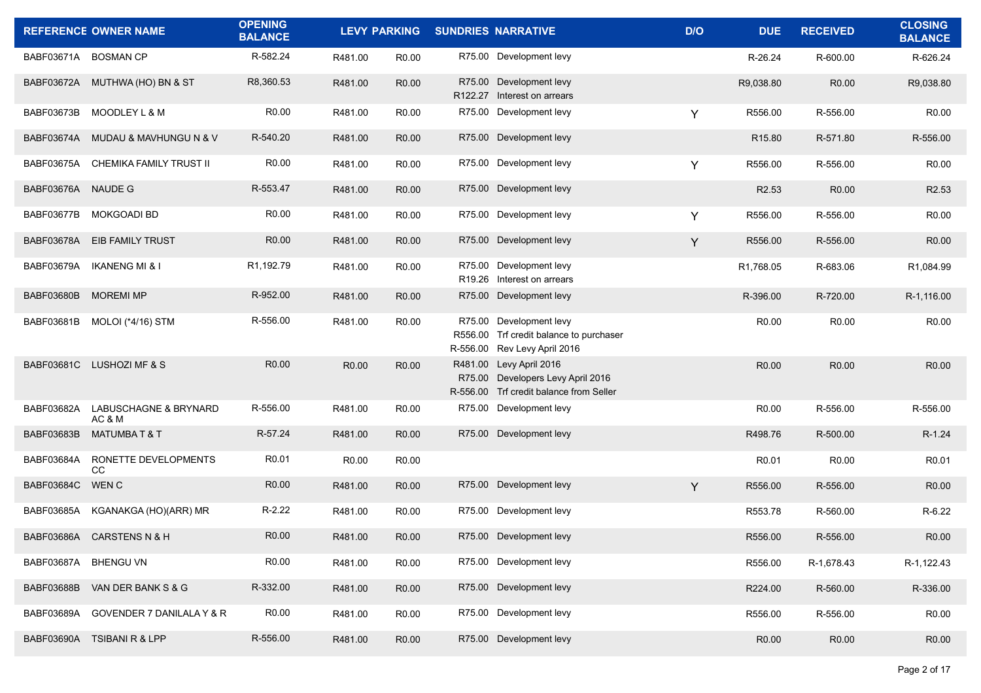|                      | <b>REFERENCE OWNER NAME</b>          | <b>OPENING</b><br><b>BALANCE</b> |                   | <b>LEVY PARKING</b> | <b>SUNDRIES NARRATIVE</b>                                                                               | D/O | <b>DUE</b>         | <b>RECEIVED</b>   | <b>CLOSING</b><br><b>BALANCE</b> |
|----------------------|--------------------------------------|----------------------------------|-------------------|---------------------|---------------------------------------------------------------------------------------------------------|-----|--------------------|-------------------|----------------------------------|
| BABF03671A BOSMAN CP |                                      | R-582.24                         | R481.00           | R <sub>0.00</sub>   | R75.00 Development levy                                                                                 |     | R-26.24            | R-600.00          | R-626.24                         |
|                      | BABF03672A MUTHWA (HO) BN & ST       | R8,360.53                        | R481.00           | R <sub>0.00</sub>   | R75.00 Development levy<br>R122.27 Interest on arrears                                                  |     | R9,038.80          | R0.00             | R9,038.80                        |
| BABF03673B           | <b>MOODLEY L &amp; M</b>             | R <sub>0.00</sub>                | R481.00           | R <sub>0.00</sub>   | R75.00 Development levy                                                                                 | Y   | R556.00            | R-556.00          | R <sub>0.00</sub>                |
| BABF03674A           | MUDAU & MAVHUNGU N & V               | R-540.20                         | R481.00           | R <sub>0.00</sub>   | R75.00 Development levy                                                                                 |     | R <sub>15.80</sub> | R-571.80          | R-556.00                         |
| BABF03675A           | CHEMIKA FAMILY TRUST II              | R <sub>0.00</sub>                | R481.00           | R <sub>0.00</sub>   | R75.00 Development levy                                                                                 | Y   | R556.00            | R-556.00          | R <sub>0.00</sub>                |
| BABF03676A NAUDE G   |                                      | R-553.47                         | R481.00           | R <sub>0.00</sub>   | R75.00 Development levy                                                                                 |     | R <sub>2.53</sub>  | R0.00             | R <sub>2.53</sub>                |
| BABF03677B           | MOKGOADI BD                          | R <sub>0.00</sub>                | R481.00           | R <sub>0.00</sub>   | R75.00 Development levy                                                                                 | Y   | R556.00            | R-556.00          | R0.00                            |
| <b>BABF03678A</b>    | <b>EIB FAMILY TRUST</b>              | R <sub>0.00</sub>                | R481.00           | R <sub>0.00</sub>   | R75.00 Development levy                                                                                 | Y   | R556.00            | R-556.00          | R <sub>0.00</sub>                |
| BABF03679A           | <b>IKANENG MI &amp; I</b>            | R1,192.79                        | R481.00           | R <sub>0.00</sub>   | R75.00 Development levy<br>R19.26 Interest on arrears                                                   |     | R1,768.05          | R-683.06          | R1,084.99                        |
| <b>BABF03680B</b>    | <b>MOREMI MP</b>                     | R-952.00                         | R481.00           | R <sub>0.00</sub>   | R75.00 Development levy                                                                                 |     | R-396.00           | R-720.00          | R-1,116.00                       |
| BABF03681B           | MOLOI (*4/16) STM                    | R-556.00                         | R481.00           | R <sub>0.00</sub>   | R75.00 Development levy<br>R556.00 Trf credit balance to purchaser<br>R-556.00 Rev Levy April 2016      |     | R <sub>0.00</sub>  | R0.00             | R <sub>0.00</sub>                |
|                      | BABF03681C LUSHOZI MF & S            | R0.00                            | R <sub>0.00</sub> | R <sub>0.00</sub>   | R481.00 Levy April 2016<br>R75.00 Developers Levy April 2016<br>R-556.00 Trf credit balance from Seller |     | R <sub>0.00</sub>  | R <sub>0.00</sub> | R <sub>0.00</sub>                |
| BABF03682A           | LABUSCHAGNE & BRYNARD<br>AC & M      | R-556.00                         | R481.00           | R <sub>0.00</sub>   | R75.00 Development levy                                                                                 |     | R0.00              | R-556.00          | R-556.00                         |
| <b>BABF03683B</b>    | <b>MATUMBAT&amp;T</b>                | R-57.24                          | R481.00           | R <sub>0.00</sub>   | R75.00 Development levy                                                                                 |     | R498.76            | R-500.00          | R-1.24                           |
| BABF03684A           | RONETTE DEVELOPMENTS<br>CC           | R <sub>0.01</sub>                | R0.00             | R0.00               |                                                                                                         |     | R <sub>0.01</sub>  | R0.00             | R0.01                            |
| BABF03684C WENC      |                                      | R <sub>0.00</sub>                | R481.00           | R <sub>0.00</sub>   | R75.00 Development levy                                                                                 | Y   | R556.00            | R-556.00          | R <sub>0.00</sub>                |
| BABF03685A           | KGANAKGA (HO)(ARR) MR                | $R-2.22$                         | R481.00           | R <sub>0.00</sub>   | R75.00 Development levy                                                                                 |     | R553.78            | R-560.00          | R-6.22                           |
|                      | BABF03686A CARSTENS N & H            | R <sub>0.00</sub>                | R481.00           | R <sub>0.00</sub>   | R75.00 Development levy                                                                                 |     | R556.00            | R-556.00          | R0.00                            |
| BABF03687A BHENGU VN |                                      | R0.00                            | R481.00           | R0.00               | R75.00 Development levy                                                                                 |     | R556.00            | R-1,678.43        | R-1,122.43                       |
| BABF03688B           | VAN DER BANK S & G                   | R-332.00                         | R481.00           | R0.00               | R75.00 Development levy                                                                                 |     | R224.00            | R-560.00          | R-336.00                         |
| BABF03689A           | <b>GOVENDER 7 DANILALA Y &amp; R</b> | R0.00                            | R481.00           | R <sub>0.00</sub>   | R75.00 Development levy                                                                                 |     | R556.00            | R-556.00          | R0.00                            |
| BABF03690A           | <b>TSIBANI R &amp; LPP</b>           | R-556.00                         | R481.00           | R <sub>0.00</sub>   | R75.00 Development levy                                                                                 |     | R0.00              | R0.00             | R <sub>0.00</sub>                |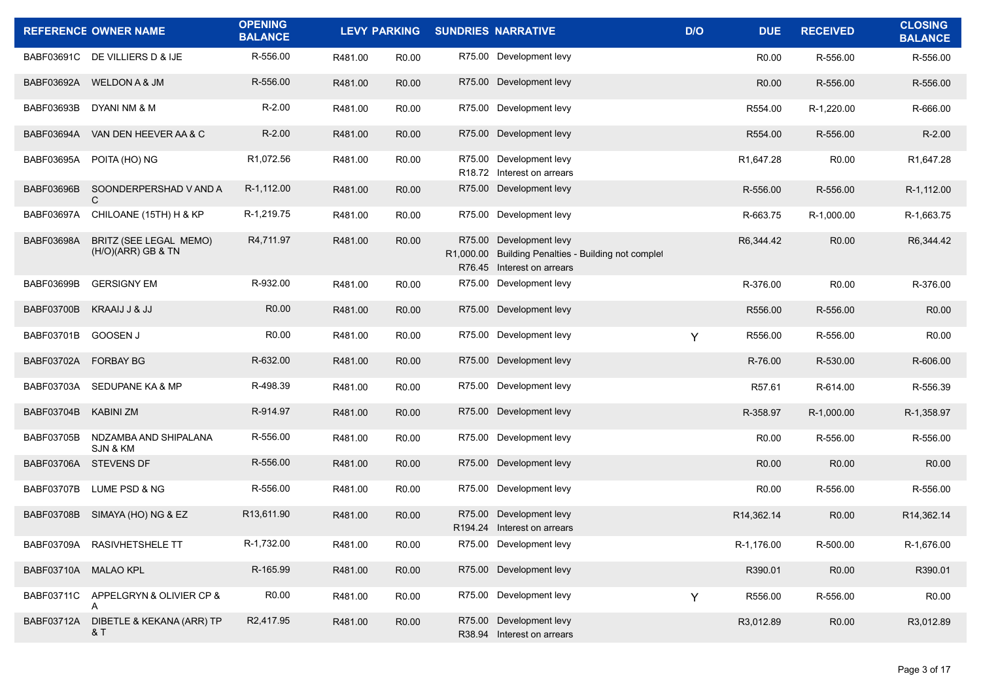|                      | <b>REFERENCE OWNER NAME</b>                  | <b>OPENING</b><br><b>BALANCE</b> |         |                   | LEVY PARKING SUNDRIES NARRATIVE                                                                              | D/O | <b>DUE</b>        | <b>RECEIVED</b>   | <b>CLOSING</b><br><b>BALANCE</b> |
|----------------------|----------------------------------------------|----------------------------------|---------|-------------------|--------------------------------------------------------------------------------------------------------------|-----|-------------------|-------------------|----------------------------------|
|                      | BABF03691C DE VILLIERS D & IJE               | R-556.00                         | R481.00 | R0.00             | R75.00 Development levy                                                                                      |     | R <sub>0.00</sub> | R-556.00          | R-556.00                         |
|                      | BABF03692A WELDON A & JM                     | R-556.00                         | R481.00 | R <sub>0.00</sub> | R75.00 Development levy                                                                                      |     | R <sub>0.00</sub> | R-556.00          | R-556.00                         |
| BABF03693B           | DYANI NM & M                                 | $R-2.00$                         | R481.00 | R <sub>0.00</sub> | R75.00 Development levy                                                                                      |     | R554.00           | R-1,220.00        | R-666.00                         |
| BABF03694A           | VAN DEN HEEVER AA & C                        | $R-2.00$                         | R481.00 | R <sub>0.00</sub> | R75.00 Development levy                                                                                      |     | R554.00           | R-556.00          | $R-2.00$                         |
| BABF03695A           | POITA (HO) NG                                | R1,072.56                        | R481.00 | R <sub>0.00</sub> | R75.00 Development levy<br>R18.72 Interest on arrears                                                        |     | R1,647.28         | R0.00             | R1,647.28                        |
| <b>BABF03696B</b>    | SOONDERPERSHAD V AND A<br>C.                 | R-1,112.00                       | R481.00 | R <sub>0.00</sub> | R75.00 Development levy                                                                                      |     | R-556.00          | R-556.00          | R-1,112.00                       |
| BABF03697A           | CHILOANE (15TH) H & KP                       | R-1,219.75                       | R481.00 | R0.00             | R75.00 Development levy                                                                                      |     | R-663.75          | R-1,000.00        | R-1,663.75                       |
| BABF03698A           | BRITZ (SEE LEGAL MEMO)<br>(H/O)(ARR) GB & TN | R4,711.97                        | R481.00 | R <sub>0.00</sub> | R75.00 Development levy<br>R1,000.00 Building Penalties - Building not complet<br>R76.45 Interest on arrears |     | R6,344.42         | R0.00             | R6,344.42                        |
| BABF03699B           | <b>GERSIGNY EM</b>                           | R-932.00                         | R481.00 | R0.00             | R75.00 Development levy                                                                                      |     | R-376.00          | R0.00             | R-376.00                         |
| BABF03700B           | KRAAIJ J & JJ                                | R0.00                            | R481.00 | R <sub>0.00</sub> | R75.00 Development levy                                                                                      |     | R556.00           | R-556.00          | R <sub>0.00</sub>                |
| BABF03701B           | GOOSEN J                                     | R <sub>0.00</sub>                | R481.00 | R0.00             | R75.00 Development levy                                                                                      | Y   | R556.00           | R-556.00          | R <sub>0.00</sub>                |
| BABF03702A FORBAY BG |                                              | R-632.00                         | R481.00 | R <sub>0.00</sub> | R75.00 Development levy                                                                                      |     | R-76.00           | R-530.00          | R-606.00                         |
| BABF03703A           | SEDUPANE KA & MP                             | R-498.39                         | R481.00 | R <sub>0.00</sub> | R75.00 Development levy                                                                                      |     | R57.61            | R-614.00          | R-556.39                         |
| BABF03704B           | <b>KABINI ZM</b>                             | R-914.97                         | R481.00 | R <sub>0.00</sub> | R75.00 Development levy                                                                                      |     | R-358.97          | R-1,000.00        | R-1,358.97                       |
| <b>BABF03705B</b>    | NDZAMBA AND SHIPALANA<br>SJN & KM            | R-556.00                         | R481.00 | R <sub>0.00</sub> | R75.00 Development levy                                                                                      |     | R <sub>0.00</sub> | R-556.00          | R-556.00                         |
| BABF03706A           | <b>STEVENS DF</b>                            | R-556.00                         | R481.00 | R <sub>0.00</sub> | R75.00 Development levy                                                                                      |     | R <sub>0.00</sub> | R0.00             | R <sub>0.00</sub>                |
| <b>BABF03707B</b>    | LUME PSD & NG                                | R-556.00                         | R481.00 | R <sub>0.00</sub> | R75.00 Development levy                                                                                      |     | R <sub>0.00</sub> | R-556.00          | R-556.00                         |
| <b>BABF03708B</b>    | SIMAYA (HO) NG & EZ                          | R <sub>13</sub> ,611.90          | R481.00 | R <sub>0.00</sub> | R75.00 Development levy<br>R194.24 Interest on arrears                                                       |     | R14,362.14        | R <sub>0.00</sub> | R14,362.14                       |
|                      | BABF03709A RASIVHETSHELE TT                  | R-1,732.00                       | R481.00 | R0.00             | R75.00 Development levy                                                                                      |     | R-1,176.00        | R-500.00          | R-1,676.00                       |
| BABF03710A MALAO KPL |                                              | R-165.99                         | R481.00 | R0.00             | R75.00 Development levy                                                                                      |     | R390.01           | R0.00             | R390.01                          |
| <b>BABF03711C</b>    | APPELGRYN & OLIVIER CP &<br>A                | R0.00                            | R481.00 | R0.00             | R75.00 Development levy                                                                                      | Y   | R556.00           | R-556.00          | R0.00                            |
| BABF03712A           | DIBETLE & KEKANA (ARR) TP<br>& T             | R2,417.95                        | R481.00 | R0.00             | R75.00 Development levy<br>R38.94 Interest on arrears                                                        |     | R3,012.89         | R0.00             | R3,012.89                        |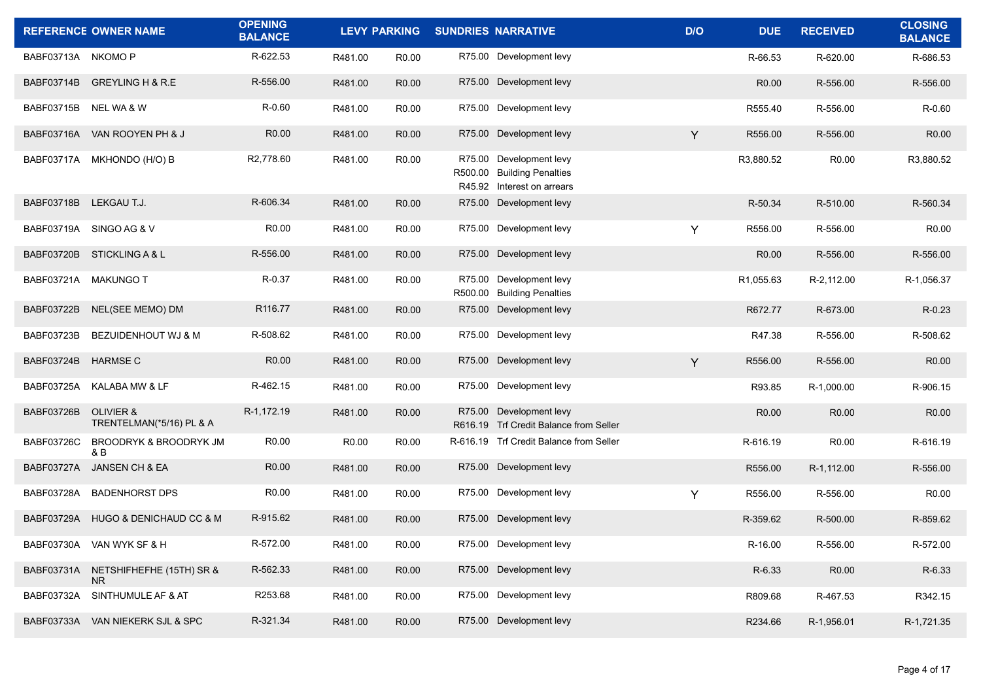|                    | <b>REFERENCE OWNER NAME</b>                      | <b>OPENING</b><br><b>BALANCE</b> |         | <b>LEVY PARKING</b> | <b>SUNDRIES NARRATIVE</b>                                                           | D/O | <b>DUE</b>            | <b>RECEIVED</b>   | <b>CLOSING</b><br><b>BALANCE</b> |
|--------------------|--------------------------------------------------|----------------------------------|---------|---------------------|-------------------------------------------------------------------------------------|-----|-----------------------|-------------------|----------------------------------|
| BABF03713A NKOMO P |                                                  | R-622.53                         | R481.00 | R <sub>0.00</sub>   | R75.00 Development levy                                                             |     | R-66.53               | R-620.00          | R-686.53                         |
| BABF03714B         | GREYLING H & R.E                                 | R-556.00                         | R481.00 | R <sub>0.00</sub>   | R75.00 Development levy                                                             |     | R0.00                 | R-556.00          | R-556.00                         |
| <b>BABF03715B</b>  | NEL WA & W                                       | R-0.60                           | R481.00 | R <sub>0.00</sub>   | R75.00 Development levy                                                             |     | R555.40               | R-556.00          | R-0.60                           |
| BABF03716A         | VAN ROOYEN PH & J                                | R <sub>0.00</sub>                | R481.00 | R <sub>0.00</sub>   | R75.00 Development levy                                                             | Y   | R556.00               | R-556.00          | R <sub>0.00</sub>                |
| BABF03717A         | MKHONDO (H/O) B                                  | R2,778.60                        | R481.00 | R <sub>0.00</sub>   | R75.00 Development levy<br>R500.00 Building Penalties<br>R45.92 Interest on arrears |     | R3,880.52             | R0.00             | R3,880.52                        |
| <b>BABF03718B</b>  | LEKGAU T.J.                                      | R-606.34                         | R481.00 | R <sub>0.00</sub>   | R75.00 Development levy                                                             |     | R-50.34               | R-510.00          | R-560.34                         |
| BABF03719A         | SINGO AG & V                                     | R <sub>0.00</sub>                | R481.00 | R <sub>0.00</sub>   | R75.00 Development levy                                                             | Y   | R556.00               | R-556.00          | R <sub>0.00</sub>                |
| <b>BABF03720B</b>  | STICKLING A & L                                  | R-556.00                         | R481.00 | R <sub>0.00</sub>   | R75.00 Development levy                                                             |     | R0.00                 | R-556.00          | R-556.00                         |
| BABF03721A         | MAKUNGO T                                        | R-0.37                           | R481.00 | R <sub>0.00</sub>   | R75.00 Development levy<br>R500.00 Building Penalties                               |     | R <sub>1.055.63</sub> | R-2,112.00        | R-1,056.37                       |
| <b>BABF03722B</b>  | NEL(SEE MEMO) DM                                 | R116.77                          | R481.00 | R <sub>0.00</sub>   | R75.00 Development levy                                                             |     | R672.77               | R-673.00          | R-0.23                           |
| <b>BABF03723B</b>  | BEZUIDENHOUT WJ & M                              | R-508.62                         | R481.00 | R <sub>0.00</sub>   | R75.00 Development levy                                                             |     | R47.38                | R-556.00          | R-508.62                         |
| BABF03724B         | <b>HARMSE C</b>                                  | R <sub>0.00</sub>                | R481.00 | R <sub>0.00</sub>   | R75.00 Development levy                                                             | Y   | R556.00               | R-556.00          | R0.00                            |
| BABF03725A         | KALABA MW & LF                                   | R-462.15                         | R481.00 | R <sub>0.00</sub>   | R75.00 Development levy                                                             |     | R93.85                | R-1,000.00        | R-906.15                         |
| <b>BABF03726B</b>  | <b>OLIVIER &amp;</b><br>TRENTELMAN(*5/16) PL & A | R-1,172.19                       | R481.00 | R <sub>0.00</sub>   | R75.00 Development levy<br>R616.19 Trf Credit Balance from Seller                   |     | R <sub>0.00</sub>     | R0.00             | R0.00                            |
| <b>BABF03726C</b>  | BROODRYK & BROODRYK JM<br>& B                    | R <sub>0.00</sub>                | R0.00   | R <sub>0.00</sub>   | R-616.19 Trf Credit Balance from Seller                                             |     | R-616.19              | R <sub>0.00</sub> | R-616.19                         |
| <b>BABF03727A</b>  | JANSEN CH & EA                                   | R <sub>0.00</sub>                | R481.00 | R0.00               | R75.00 Development levy                                                             |     | R556.00               | R-1,112.00        | R-556.00                         |
| BABF03728A         | <b>BADENHORST DPS</b>                            | R <sub>0.00</sub>                | R481.00 | R0.00               | R75.00 Development levy                                                             | Y   | R556.00               | R-556.00          | R0.00                            |
| BABF03729A         | HUGO & DENICHAUD CC & M                          | R-915.62                         | R481.00 | R <sub>0.00</sub>   | R75.00 Development levy                                                             |     | R-359.62              | R-500.00          | R-859.62                         |
|                    | BABF03730A VAN WYK SF & H                        | R-572.00                         | R481.00 | R0.00               | R75.00 Development levy                                                             |     | R-16.00               | R-556.00          | R-572.00                         |
| BABF03731A         | NETSHIFHEFHE (15TH) SR &<br>NR.                  | R-562.33                         | R481.00 | R0.00               | R75.00 Development levy                                                             |     | R-6.33                | R0.00             | R-6.33                           |
| BABF03732A         | SINTHUMULE AF & AT                               | R253.68                          | R481.00 | R0.00               | R75.00 Development levy                                                             |     | R809.68               | R-467.53          | R342.15                          |
|                    | BABF03733A VAN NIEKERK SJL & SPC                 | R-321.34                         | R481.00 | R0.00               | R75.00 Development levy                                                             |     | R234.66               | R-1,956.01        | R-1,721.35                       |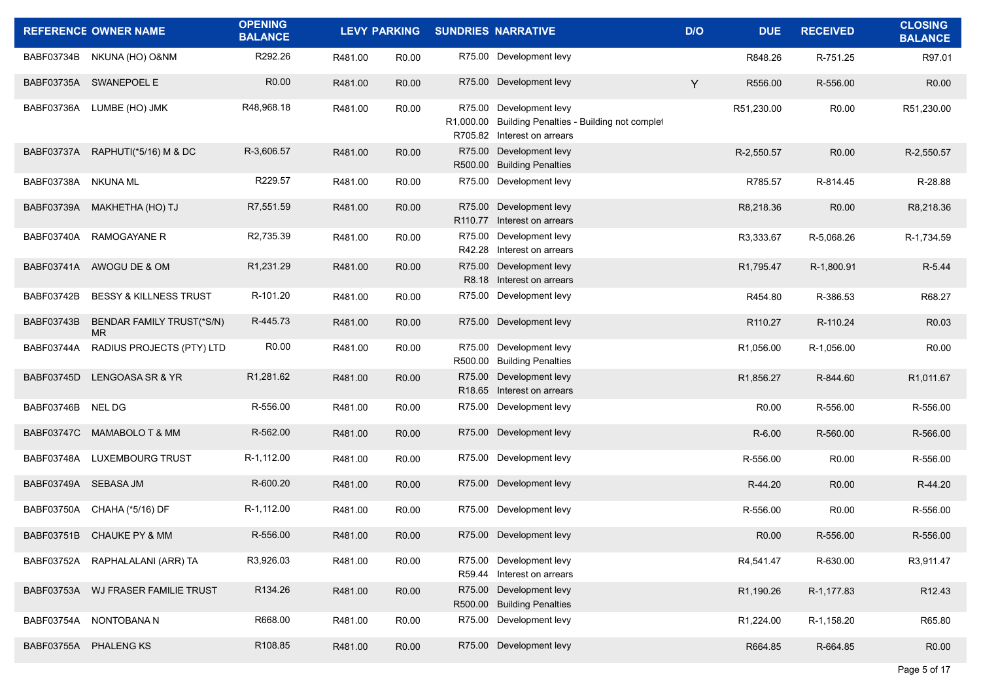|                      | <b>REFERENCE OWNER NAME</b>       | <b>OPENING</b><br><b>BALANCE</b> | <b>LEVY PARKING</b> |                   | <b>SUNDRIES NARRATIVE</b>                                                                                     | D/O | <b>DUE</b>             | <b>RECEIVED</b>   | <b>CLOSING</b><br><b>BALANCE</b> |
|----------------------|-----------------------------------|----------------------------------|---------------------|-------------------|---------------------------------------------------------------------------------------------------------------|-----|------------------------|-------------------|----------------------------------|
| BABF03734B           | NKUNA (HO) O&NM                   | R292.26                          | R481.00             | R <sub>0.00</sub> | R75.00 Development levy                                                                                       |     | R848.26                | R-751.25          | R97.01                           |
|                      | BABF03735A SWANEPOEL E            | R <sub>0.00</sub>                | R481.00             | R <sub>0.00</sub> | R75.00 Development levy                                                                                       | Y   | R556.00                | R-556.00          | R <sub>0.00</sub>                |
| BABF03736A           | LUMBE (HO) JMK                    | R48,968.18                       | R481.00             | R <sub>0.00</sub> | R75.00 Development levy<br>R1,000.00 Building Penalties - Building not complet<br>R705.82 Interest on arrears |     | R51,230.00             | R0.00             | R51,230.00                       |
|                      | BABF03737A RAPHUTI(*5/16) M & DC  | R-3,606.57                       | R481.00             | R <sub>0.00</sub> | R75.00 Development levy<br>R500.00 Building Penalties                                                         |     | R-2,550.57             | R <sub>0.00</sub> | R-2,550.57                       |
| BABF03738A NKUNA ML  |                                   | R229.57                          | R481.00             | R <sub>0.00</sub> | R75.00 Development levy                                                                                       |     | R785.57                | R-814.45          | R-28.88                          |
| BABF03739A           | MAKHETHA (HO) TJ                  | R7,551.59                        | R481.00             | R <sub>0.00</sub> | R75.00 Development levy<br>R110.77 Interest on arrears                                                        |     | R8,218.36              | R <sub>0.00</sub> | R8,218.36                        |
| BABF03740A           | <b>RAMOGAYANE R</b>               | R2,735.39                        | R481.00             | R <sub>0.00</sub> | R75.00 Development levy<br>R42.28 Interest on arrears                                                         |     | R3,333.67              | R-5,068.26        | R-1,734.59                       |
|                      | BABF03741A AWOGU DE & OM          | R1,231.29                        | R481.00             | R <sub>0.00</sub> | R75.00 Development levy<br>R8.18 Interest on arrears                                                          |     | R1,795.47              | R-1,800.91        | R-5.44                           |
| <b>BABF03742B</b>    | <b>BESSY &amp; KILLNESS TRUST</b> | R-101.20                         | R481.00             | R <sub>0.00</sub> | R75.00 Development levy                                                                                       |     | R454.80                | R-386.53          | R68.27                           |
| BABF03743B           | BENDAR FAMILY TRUST(*S/N)<br>MR.  | R-445.73                         | R481.00             | R <sub>0.00</sub> | R75.00 Development levy                                                                                       |     | R110.27                | R-110.24          | R <sub>0.03</sub>                |
| BABF03744A           | RADIUS PROJECTS (PTY) LTD         | R <sub>0.00</sub>                | R481.00             | R <sub>0.00</sub> | R75.00 Development levy<br>R500.00 Building Penalties                                                         |     | R1,056.00              | R-1.056.00        | R <sub>0.00</sub>                |
| BABF03745D           | LENGOASA SR & YR                  | R1,281.62                        | R481.00             | R <sub>0.00</sub> | R75.00 Development levy<br>R18.65 Interest on arrears                                                         |     | R <sub>1</sub> ,856.27 | R-844.60          | R1,011.67                        |
| BABF03746B           | <b>NEL DG</b>                     | R-556.00                         | R481.00             | R <sub>0.00</sub> | R75.00 Development levy                                                                                       |     | R <sub>0.00</sub>      | R-556.00          | R-556.00                         |
| <b>BABF03747C</b>    | MAMABOLO T & MM                   | R-562.00                         | R481.00             | R <sub>0.00</sub> | R75.00 Development levy                                                                                       |     | R-6.00                 | R-560.00          | R-566.00                         |
| BABF03748A           | <b>LUXEMBOURG TRUST</b>           | R-1,112.00                       | R481.00             | R <sub>0.00</sub> | R75.00 Development levy                                                                                       |     | R-556.00               | R0.00             | R-556.00                         |
| BABF03749A SEBASA JM |                                   | R-600.20                         | R481.00             | R <sub>0.00</sub> | R75.00 Development levy                                                                                       |     | R-44.20                | R0.00             | R-44.20                          |
| BABF03750A           | CHAHA (*5/16) DF                  | R-1,112.00                       | R481.00             | R0.00             | R75.00 Development levy                                                                                       |     | R-556.00               | R <sub>0.00</sub> | R-556.00                         |
| <b>BABF03751B</b>    | <b>CHAUKE PY &amp; MM</b>         | R-556.00                         | R481.00             | R <sub>0.00</sub> | R75.00 Development levy                                                                                       |     | R <sub>0.00</sub>      | R-556.00          | R-556.00                         |
| BABF03752A           | RAPHALALANI (ARR) TA              | R3,926.03                        | R481.00             | R <sub>0.00</sub> | R75.00 Development levy<br>R59.44 Interest on arrears                                                         |     | R4,541.47              | R-630.00          | R3.911.47                        |
| BABF03753A           | WJ FRASER FAMILIE TRUST           | R134.26                          | R481.00             | R0.00             | R75.00 Development levy<br>R500.00 Building Penalties                                                         |     | R1,190.26              | R-1,177.83        | R12.43                           |
| BABF03754A           | NONTOBANA N                       | R668.00                          | R481.00             | R0.00             | R75.00 Development levy                                                                                       |     | R1,224.00              | R-1,158.20        | R65.80                           |
| BABF03755A           | PHALENG KS                        | R108.85                          | R481.00             | R0.00             | R75.00 Development levy                                                                                       |     | R664.85                | R-664.85          | R0.00                            |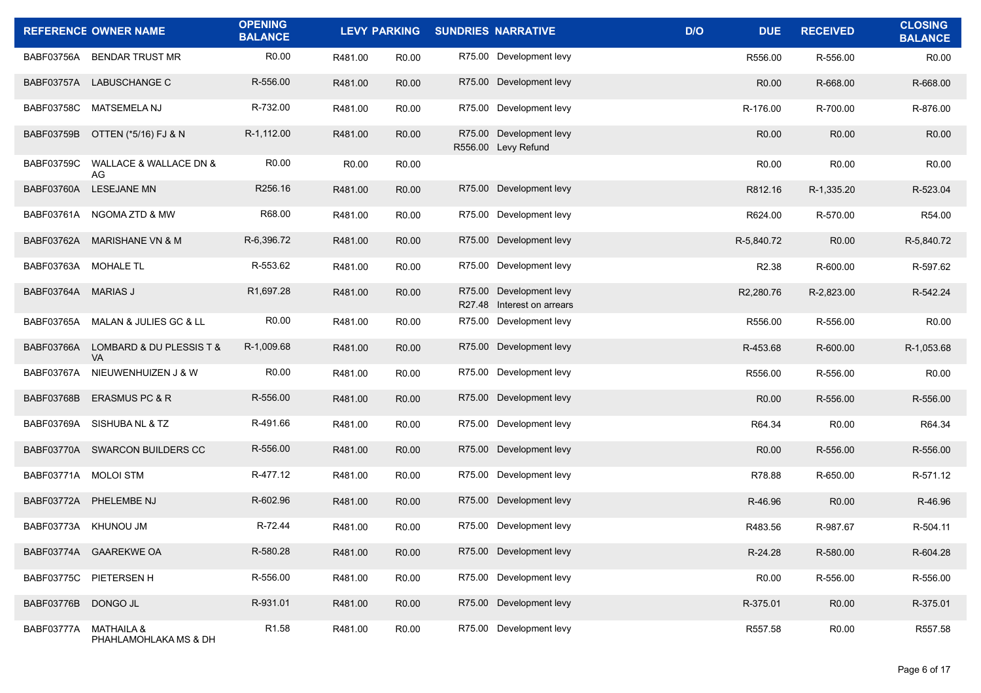|                      | <b>REFERENCE OWNER NAME</b>                    | <b>OPENING</b><br><b>BALANCE</b> |                   | <b>LEVY PARKING</b> | <b>SUNDRIES NARRATIVE</b>                             | D/O<br><b>DUE</b> | <b>RECEIVED</b> | <b>CLOSING</b><br><b>BALANCE</b> |
|----------------------|------------------------------------------------|----------------------------------|-------------------|---------------------|-------------------------------------------------------|-------------------|-----------------|----------------------------------|
| BABF03756A           | <b>BENDAR TRUST MR</b>                         | R <sub>0.00</sub>                | R481.00           | R <sub>0.00</sub>   | R75.00 Development levy                               | R556.00           | R-556.00        | R0.00                            |
|                      | BABF03757A LABUSCHANGE C                       | R-556.00                         | R481.00           | R <sub>0.00</sub>   | R75.00 Development levy                               | R <sub>0.00</sub> | R-668.00        | R-668.00                         |
| <b>BABF03758C</b>    | <b>MATSEMELA NJ</b>                            | R-732.00                         | R481.00           | R <sub>0.00</sub>   | R75.00 Development levy                               | R-176.00          | R-700.00        | R-876.00                         |
| <b>BABF03759B</b>    | OTTEN (*5/16) FJ & N                           | R-1,112.00                       | R481.00           | R <sub>0.00</sub>   | R75.00 Development levy<br>R556.00 Levy Refund        | R0.00             | R0.00           | R0.00                            |
| <b>BABF03759C</b>    | WALLACE & WALLACE DN &<br>AG                   | R <sub>0.00</sub>                | R <sub>0.00</sub> | R0.00               |                                                       | R <sub>0.00</sub> | R0.00           | R0.00                            |
| BABF03760A           | <b>LESEJANE MN</b>                             | R256.16                          | R481.00           | R <sub>0.00</sub>   | R75.00 Development levy                               | R812.16           | R-1,335.20      | R-523.04                         |
| BABF03761A           | NGOMA ZTD & MW                                 | R68.00                           | R481.00           | R <sub>0.00</sub>   | R75.00 Development levy                               | R624.00           | R-570.00        | R54.00                           |
| BABF03762A           | <b>MARISHANE VN &amp; M</b>                    | R-6,396.72                       | R481.00           | R <sub>0.00</sub>   | R75.00 Development levy                               | R-5,840.72        | R0.00           | R-5,840.72                       |
| BABF03763A MOHALE TL |                                                | R-553.62                         | R481.00           | R <sub>0.00</sub>   | R75.00 Development levy                               | R <sub>2.38</sub> | R-600.00        | R-597.62                         |
| BABF03764A MARIAS J  |                                                | R1,697.28                        | R481.00           | R <sub>0.00</sub>   | R75.00 Development levy<br>R27.48 Interest on arrears | R2,280.76         | R-2,823.00      | R-542.24                         |
| BABF03765A           | MALAN & JULIES GC & LL                         | R0.00                            | R481.00           | R <sub>0.00</sub>   | R75.00 Development levy                               | R556.00           | R-556.00        | R0.00                            |
| BABF03766A           | LOMBARD & DU PLESSIS T &<br><b>VA</b>          | R-1,009.68                       | R481.00           | R <sub>0.00</sub>   | R75.00 Development levy                               | R-453.68          | R-600.00        | R-1,053.68                       |
| <b>BABF03767A</b>    | NIEUWENHUIZEN J & W                            | R <sub>0.00</sub>                | R481.00           | R0.00               | R75.00 Development levy                               | R556.00           | R-556.00        | R <sub>0.00</sub>                |
| BABF03768B           | ERASMUS PC & R                                 | R-556.00                         | R481.00           | R0.00               | R75.00 Development levy                               | R <sub>0.00</sub> | R-556.00        | R-556.00                         |
| BABF03769A           | SISHUBA NL & TZ                                | R-491.66                         | R481.00           | R0.00               | R75.00 Development levy                               | R64.34            | R0.00           | R64.34                           |
|                      | BABF03770A SWARCON BUILDERS CC                 | R-556.00                         | R481.00           | R <sub>0.00</sub>   | R75.00 Development levy                               | R0.00             | R-556.00        | R-556.00                         |
| BABF03771A MOLOI STM |                                                | R-477.12                         | R481.00           | R <sub>0.00</sub>   | R75.00 Development levy                               | R78.88            | R-650.00        | R-571.12                         |
|                      | BABF03772A PHELEMBE NJ                         | R-602.96                         | R481.00           | R <sub>0.00</sub>   | R75.00 Development levy                               | R-46.96           | R0.00           | R-46.96                          |
|                      | BABF03773A KHUNOU JM                           | R-72.44                          | R481.00           | R0.00               | R75.00 Development levy                               | R483.56           | R-987.67        | R-504.11                         |
|                      | BABF03774A GAAREKWE OA                         | R-580.28                         | R481.00           | R0.00               | R75.00 Development levy                               | R-24.28           | R-580.00        | R-604.28                         |
|                      | BABF03775C PIETERSEN H                         | R-556.00                         | R481.00           | R0.00               | R75.00 Development levy                               | R0.00             | R-556.00        | R-556.00                         |
| BABF03776B           | DONGO JL                                       | R-931.01                         | R481.00           | R0.00               | R75.00 Development levy                               | R-375.01          | R0.00           | R-375.01                         |
| BABF03777A           | <b>MATHAILA &amp;</b><br>PHAHLAMOHLAKA MS & DH | R1.58                            | R481.00           | R0.00               | R75.00 Development levy                               | R557.58           | R0.00           | R557.58                          |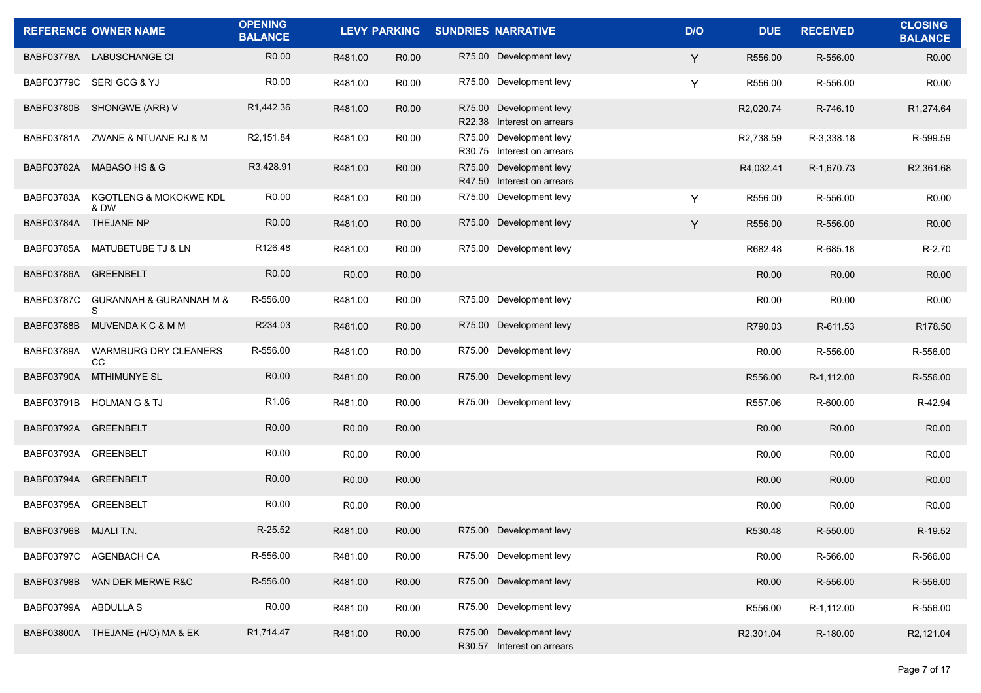|                      | <b>REFERENCE OWNER NAME</b>               | <b>OPENING</b><br><b>BALANCE</b> |                   | <b>LEVY PARKING</b> | <b>SUNDRIES NARRATIVE</b>                             | D/O | <b>DUE</b>        | <b>RECEIVED</b>   | <b>CLOSING</b><br><b>BALANCE</b> |
|----------------------|-------------------------------------------|----------------------------------|-------------------|---------------------|-------------------------------------------------------|-----|-------------------|-------------------|----------------------------------|
|                      | BABF03778A LABUSCHANGE CI                 | R <sub>0.00</sub>                | R481.00           | R <sub>0.00</sub>   | R75.00 Development levy                               | Y   | R556.00           | R-556.00          | R <sub>0.00</sub>                |
|                      | BABF03779C SERIGCG & YJ                   | R <sub>0.00</sub>                | R481.00           | R <sub>0.00</sub>   | R75.00 Development levy                               | Y   | R556.00           | R-556.00          | R <sub>0.00</sub>                |
|                      | BABF03780B SHONGWE (ARR) V                | R1,442.36                        | R481.00           | R <sub>0.00</sub>   | R75.00 Development levy<br>R22.38 Interest on arrears |     | R2,020.74         | R-746.10          | R1,274.64                        |
|                      | BABF03781A ZWANE & NTUANE RJ & M          | R2,151.84                        | R481.00           | R <sub>0.00</sub>   | R75.00 Development levy<br>R30.75 Interest on arrears |     | R2,738.59         | R-3,338.18        | R-599.59                         |
|                      | BABF03782A MABASO HS & G                  | R3,428.91                        | R481.00           | R <sub>0.00</sub>   | R75.00 Development levy<br>R47.50 Interest on arrears |     | R4,032.41         | R-1,670.73        | R2,361.68                        |
| BABF03783A           | <b>KGOTLENG &amp; MOKOKWE KDL</b><br>& DW | R0.00                            | R481.00           | R <sub>0.00</sub>   | R75.00 Development levy                               | Y   | R556.00           | R-556.00          | R <sub>0.00</sub>                |
|                      | BABF03784A THEJANE NP                     | R0.00                            | R481.00           | R <sub>0.00</sub>   | R75.00 Development levy                               | Y   | R556.00           | R-556.00          | R0.00                            |
| BABF03785A           | MATUBETUBE TJ & LN                        | R126.48                          | R481.00           | R0.00               | R75.00 Development levy                               |     | R682.48           | R-685.18          | R-2.70                           |
| BABF03786A           | <b>GREENBELT</b>                          | R0.00                            | R0.00             | R0.00               |                                                       |     | R <sub>0.00</sub> | R0.00             | R <sub>0.00</sub>                |
| <b>BABF03787C</b>    | GURANNAH & GURANNAH M &<br>S              | R-556.00                         | R481.00           | R0.00               | R75.00 Development levy                               |     | R <sub>0.00</sub> | R0.00             | R <sub>0.00</sub>                |
| <b>BABF03788B</b>    | MUVENDAKC&MM                              | R234.03                          | R481.00           | R0.00               | R75.00 Development levy                               |     | R790.03           | R-611.53          | R178.50                          |
| BABF03789A           | <b>WARMBURG DRY CLEANERS</b><br>CС        | R-556.00                         | R481.00           | R <sub>0.00</sub>   | R75.00 Development levy                               |     | R <sub>0.00</sub> | R-556.00          | R-556.00                         |
| <b>BABF03790A</b>    | <b>MTHIMUNYE SL</b>                       | R0.00                            | R481.00           | R <sub>0.00</sub>   | R75.00 Development levy                               |     | R556.00           | R-1,112.00        | R-556.00                         |
| BABF03791B           | <b>HOLMAN G &amp; TJ</b>                  | R <sub>1.06</sub>                | R481.00           | R <sub>0.00</sub>   | R75.00 Development levy                               |     | R557.06           | R-600.00          | R-42.94                          |
| BABF03792A GREENBELT |                                           | R0.00                            | R <sub>0.00</sub> | R0.00               |                                                       |     | R <sub>0.00</sub> | R0.00             | R <sub>0.00</sub>                |
| BABF03793A           | <b>GREENBELT</b>                          | R <sub>0.00</sub>                | R0.00             | R <sub>0.00</sub>   |                                                       |     | R <sub>0.00</sub> | R <sub>0.00</sub> | R <sub>0.00</sub>                |
| BABF03794A           | <b>GREENBELT</b>                          | R <sub>0.00</sub>                | R0.00             | R0.00               |                                                       |     | R0.00             | R0.00             | R <sub>0.00</sub>                |
| BABF03795A           | <b>GREENBELT</b>                          | R0.00                            | R0.00             | R <sub>0.00</sub>   |                                                       |     | R <sub>0.00</sub> | R0.00             | R0.00                            |
| <b>BABF03796B</b>    | MJALI T.N.                                | R-25.52                          | R481.00           | R <sub>0.00</sub>   | R75.00 Development levy                               |     | R530.48           | R-550.00          | R-19.52                          |
|                      | BABF03797C AGENBACH CA                    | R-556.00                         | R481.00           | R0.00               | R75.00 Development levy                               |     | R0.00             | R-566.00          | R-566.00                         |
| <b>BABF03798B</b>    | VAN DER MERWE R&C                         | R-556.00                         | R481.00           | R0.00               | R75.00 Development levy                               |     | R0.00             | R-556.00          | R-556.00                         |
| BABF03799A ABDULLAS  |                                           | R0.00                            | R481.00           | R0.00               | R75.00 Development levy                               |     | R556.00           | R-1,112.00        | R-556.00                         |
|                      | BABF03800A THEJANE (H/O) MA & EK          | R1,714.47                        | R481.00           | R0.00               | R75.00 Development levy<br>R30.57 Interest on arrears |     | R2,301.04         | R-180.00          | R2,121.04                        |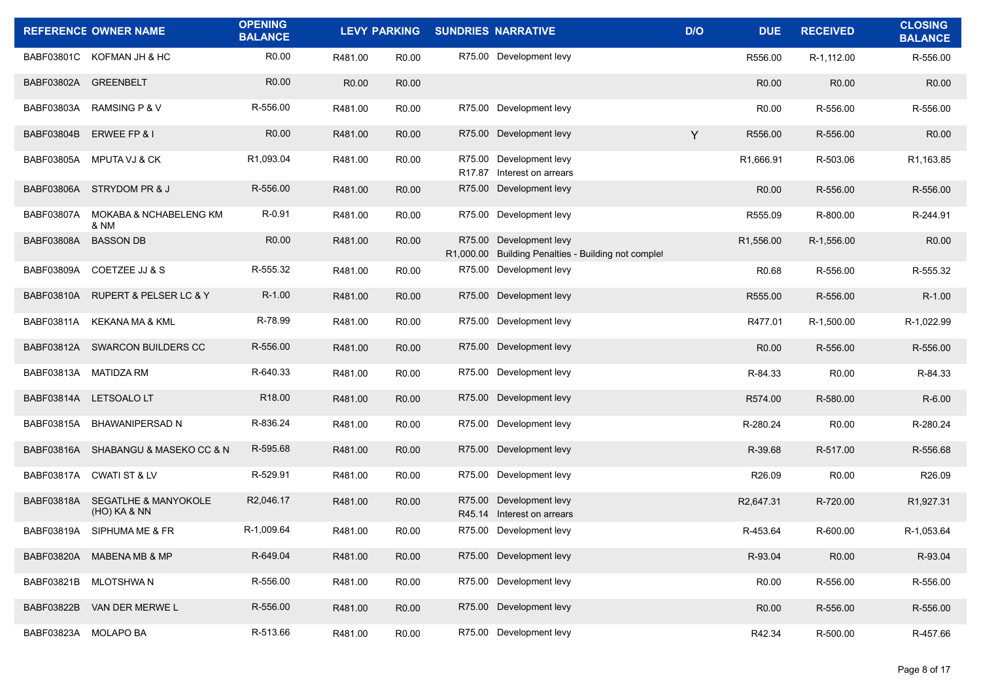|                      | <b>REFERENCE OWNER NAME</b>                       | <b>OPENING</b><br><b>BALANCE</b> | <b>LEVY PARKING</b> |                   | <b>SUNDRIES NARRATIVE</b>                                                      | D/O | <b>DUE</b>             | <b>RECEIVED</b>   | <b>CLOSING</b><br><b>BALANCE</b> |
|----------------------|---------------------------------------------------|----------------------------------|---------------------|-------------------|--------------------------------------------------------------------------------|-----|------------------------|-------------------|----------------------------------|
|                      | BABF03801C KOFMAN JH & HC                         | R <sub>0.00</sub>                | R481.00             | R <sub>0.00</sub> | R75.00 Development levy                                                        |     | R556.00                | R-1,112.00        | R-556.00                         |
| BABF03802A GREENBELT |                                                   | R <sub>0.00</sub>                | R <sub>0.00</sub>   | R <sub>0.00</sub> |                                                                                |     | R <sub>0.00</sub>      | R0.00             | R <sub>0.00</sub>                |
| BABF03803A           | <b>RAMSING P &amp; V</b>                          | R-556.00                         | R481.00             | R <sub>0.00</sub> | R75.00 Development levy                                                        |     | R <sub>0.00</sub>      | R-556.00          | R-556.00                         |
| BABF03804B           | ERWEE FP & I                                      | R <sub>0.00</sub>                | R481.00             | R <sub>0.00</sub> | R75.00 Development levy                                                        | Y   | R556.00                | R-556.00          | R <sub>0.00</sub>                |
| BABF03805A           | MPUTA VJ & CK                                     | R1,093.04                        | R481.00             | R <sub>0.00</sub> | R75.00 Development levy<br>R17.87 Interest on arrears                          |     | R1,666.91              | R-503.06          | R1,163.85                        |
| BABF03806A           | STRYDOM PR & J                                    | R-556.00                         | R481.00             | R <sub>0.00</sub> | R75.00 Development levy                                                        |     | R <sub>0.00</sub>      | R-556.00          | R-556.00                         |
| BABF03807A           | MOKABA & NCHABELENG KM<br>& NM                    | R-0.91                           | R481.00             | R <sub>0.00</sub> | R75.00 Development levy                                                        |     | R555.09                | R-800.00          | R-244.91                         |
| BABF03808A           | <b>BASSON DB</b>                                  | R <sub>0.00</sub>                | R481.00             | R <sub>0.00</sub> | R75.00 Development levy<br>R1,000.00 Building Penalties - Building not complet |     | R1,556.00              | R-1,556.00        | R <sub>0.00</sub>                |
| BABF03809A           | <b>COETZEE JJ &amp; S</b>                         | R-555.32                         | R481.00             | R <sub>0.00</sub> | R75.00 Development levy                                                        |     | R0.68                  | R-556.00          | R-555.32                         |
| BABF03810A           | <b>RUPERT &amp; PELSER LC &amp; Y</b>             | R-1.00                           | R481.00             | R <sub>0.00</sub> | R75.00 Development levy                                                        |     | R555.00                | R-556.00          | $R-1.00$                         |
| BABF03811A           | KEKANA MA & KML                                   | R-78.99                          | R481.00             | R <sub>0.00</sub> | R75.00 Development levy                                                        |     | R477.01                | R-1,500.00        | R-1,022.99                       |
|                      | BABF03812A SWARCON BUILDERS CC                    | R-556.00                         | R481.00             | R <sub>0.00</sub> | R75.00 Development levy                                                        |     | R0.00                  | R-556.00          | R-556.00                         |
| BABF03813A           | MATIDZA RM                                        | R-640.33                         | R481.00             | R <sub>0.00</sub> | R75.00 Development levy                                                        |     | R-84.33                | R <sub>0.00</sub> | R-84.33                          |
| BABF03814A           | LETSOALO LT                                       | R18.00                           | R481.00             | R <sub>0.00</sub> | R75.00 Development levy                                                        |     | R574.00                | R-580.00          | $R-6.00$                         |
| BABF03815A           | <b>BHAWANIPERSAD N</b>                            | R-836.24                         | R481.00             | R <sub>0.00</sub> | R75.00 Development levy                                                        |     | R-280.24               | R0.00             | R-280.24                         |
|                      | BABF03816A SHABANGU & MASEKO CC & N               | R-595.68                         | R481.00             | R <sub>0.00</sub> | R75.00 Development levy                                                        |     | R-39.68                | R-517.00          | R-556.68                         |
| <b>BABF03817A</b>    | <b>CWATI ST &amp; LV</b>                          | R-529.91                         | R481.00             | R <sub>0.00</sub> | R75.00 Development levy                                                        |     | R <sub>26.09</sub>     | R0.00             | R26.09                           |
|                      | BABF03818A SEGATLHE & MANYOKOLE<br>$(HO)$ KA & NN | R2,046.17                        | R481.00             | R <sub>0.00</sub> | R75.00 Development levy<br>R45.14 Interest on arrears                          |     | R <sub>2</sub> ,647.31 | R-720.00          | R1,927.31                        |
| BABF03819A           | SIPHUMA ME & FR                                   | R-1,009.64                       | R481.00             | R <sub>0.00</sub> | R75.00 Development levy                                                        |     | R-453.64               | R-600.00          | R-1,053.64                       |
| BABF03820A           | MABENA MB & MP                                    | R-649.04                         | R481.00             | R0.00             | R75.00 Development levy                                                        |     | R-93.04                | R0.00             | R-93.04                          |
| BABF03821B           | MLOTSHWA N                                        | R-556.00                         | R481.00             | R0.00             | R75.00 Development levy                                                        |     | R0.00                  | R-556.00          | R-556.00                         |
| <b>BABF03822B</b>    | VAN DER MERWE L                                   | R-556.00                         | R481.00             | R0.00             | R75.00 Development levy                                                        |     | R0.00                  | R-556.00          | R-556.00                         |
|                      | BABF03823A MOLAPO BA                              | R-513.66                         | R481.00             | R0.00             | R75.00 Development levy                                                        |     | R42.34                 | R-500.00          | R-457.66                         |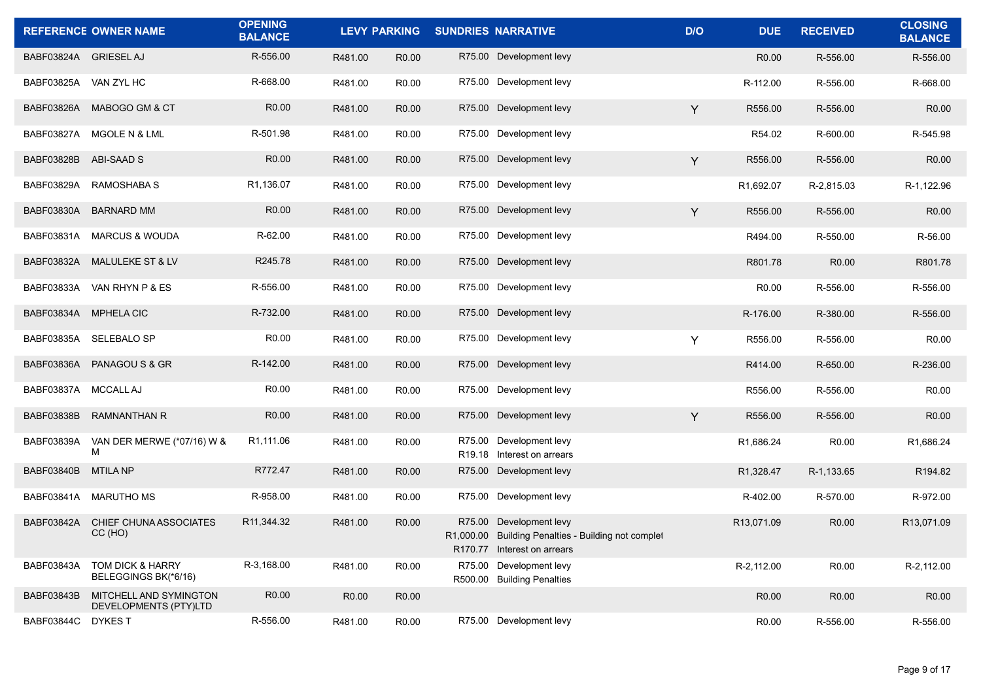|                       | <b>REFERENCE OWNER NAME</b>                     | <b>OPENING</b><br><b>BALANCE</b> |         | <b>LEVY PARKING</b> | <b>SUNDRIES NARRATIVE</b>                                                                                     | D/O | <b>DUE</b>             | <b>RECEIVED</b>   | <b>CLOSING</b><br><b>BALANCE</b> |
|-----------------------|-------------------------------------------------|----------------------------------|---------|---------------------|---------------------------------------------------------------------------------------------------------------|-----|------------------------|-------------------|----------------------------------|
| BABF03824A GRIESEL AJ |                                                 | R-556.00                         | R481.00 | R <sub>0.00</sub>   | R75.00 Development levy                                                                                       |     | R <sub>0.00</sub>      | R-556.00          | R-556.00                         |
| BABF03825A VAN ZYL HC |                                                 | R-668.00                         | R481.00 | R <sub>0.00</sub>   | R75.00 Development levy                                                                                       |     | R-112.00               | R-556.00          | R-668.00                         |
| BABF03826A            | MABOGO GM & CT                                  | R <sub>0.00</sub>                | R481.00 | R <sub>0.00</sub>   | R75.00 Development levy                                                                                       | Y   | R556.00                | R-556.00          | R <sub>0.00</sub>                |
| <b>BABF03827A</b>     | MGOLE N & LML                                   | R-501.98                         | R481.00 | R <sub>0.00</sub>   | R75.00 Development levy                                                                                       |     | R54.02                 | R-600.00          | R-545.98                         |
| <b>BABF03828B</b>     | ABI-SAAD S                                      | R <sub>0.00</sub>                | R481.00 | R0.00               | R75.00 Development levy                                                                                       | Y   | R556.00                | R-556.00          | R0.00                            |
| BABF03829A            | RAMOSHABA S                                     | R1,136.07                        | R481.00 | R <sub>0.00</sub>   | R75.00 Development levy                                                                                       |     | R <sub>1</sub> ,692.07 | R-2,815.03        | R-1,122.96                       |
| BABF03830A            | <b>BARNARD MM</b>                               | R <sub>0.00</sub>                | R481.00 | R <sub>0.00</sub>   | R75.00 Development levy                                                                                       | Y   | R556.00                | R-556.00          | R <sub>0.00</sub>                |
|                       | BABF03831A MARCUS & WOUDA                       | R-62.00                          | R481.00 | R <sub>0.00</sub>   | R75.00 Development levy                                                                                       |     | R494.00                | R-550.00          | R-56.00                          |
| BABF03832A            | MALULEKE ST & LV                                | R245.78                          | R481.00 | R <sub>0.00</sub>   | R75.00 Development levy                                                                                       |     | R801.78                | R <sub>0.00</sub> | R801.78                          |
| BABF03833A            | VAN RHYN P & ES                                 | R-556.00                         | R481.00 | R <sub>0.00</sub>   | R75.00 Development levy                                                                                       |     | R <sub>0.00</sub>      | R-556.00          | R-556.00                         |
|                       | BABF03834A MPHELA CIC                           | R-732.00                         | R481.00 | R0.00               | R75.00 Development levy                                                                                       |     | R-176.00               | R-380.00          | R-556.00                         |
| BABF03835A            | <b>SELEBALO SP</b>                              | R <sub>0.00</sub>                | R481.00 | R <sub>0.00</sub>   | R75.00 Development levy                                                                                       | Y   | R556.00                | R-556.00          | R <sub>0.00</sub>                |
| BABF03836A            | PANAGOU S & GR                                  | R-142.00                         | R481.00 | R <sub>0.00</sub>   | R75.00 Development levy                                                                                       |     | R414.00                | R-650.00          | R-236.00                         |
| BABF03837A MCCALL AJ  |                                                 | R <sub>0.00</sub>                | R481.00 | R <sub>0.00</sub>   | R75.00 Development levy                                                                                       |     | R556.00                | R-556.00          | R0.00                            |
| BABF03838B            | <b>RAMNANTHAN R</b>                             | R <sub>0.00</sub>                | R481.00 | R <sub>0.00</sub>   | R75.00 Development levy                                                                                       | Y   | R556.00                | R-556.00          | R <sub>0.00</sub>                |
| BABF03839A            | VAN DER MERWE (*07/16) W &<br>М                 | R <sub>1</sub> ,111.06           | R481.00 | R <sub>0.00</sub>   | R75.00 Development levy<br>R <sub>19.18</sub> Interest on arrears                                             |     | R <sub>1</sub> ,686.24 | R0.00             | R <sub>1,686.24</sub>            |
| BABF03840B            | <b>MTILA NP</b>                                 | R772.47                          | R481.00 | R <sub>0.00</sub>   | R75.00 Development levy                                                                                       |     | R1,328.47              | R-1,133.65        | R <sub>194.82</sub>              |
| BABF03841A            | MARUTHO MS                                      | R-958.00                         | R481.00 | R <sub>0.00</sub>   | R75.00 Development levy                                                                                       |     | R-402.00               | R-570.00          | R-972.00                         |
| BABF03842A            | CHIEF CHUNA ASSOCIATES<br>CC(HO)                | R <sub>11</sub> , 344. 32        | R481.00 | R <sub>0.00</sub>   | R75.00 Development levy<br>R1,000.00 Building Penalties - Building not complet<br>R170.77 Interest on arrears |     | R13.071.09             | R <sub>0.00</sub> | R13,071.09                       |
| BABF03843A            | TOM DICK & HARRY<br>BELEGGINGS BK(*6/16)        | R-3,168.00                       | R481.00 | R0.00               | R75.00 Development levy<br>R500.00 Building Penalties                                                         |     | R-2,112.00             | R0.00             | R-2,112.00                       |
| BABF03843B            | MITCHELL AND SYMINGTON<br>DEVELOPMENTS (PTY)LTD | R0.00                            | R0.00   | R0.00               |                                                                                                               |     | R0.00                  | R0.00             | R0.00                            |
| <b>BABF03844C</b>     | DYKES T                                         | R-556.00                         | R481.00 | R0.00               | R75.00 Development levy                                                                                       |     | R0.00                  | R-556.00          | R-556.00                         |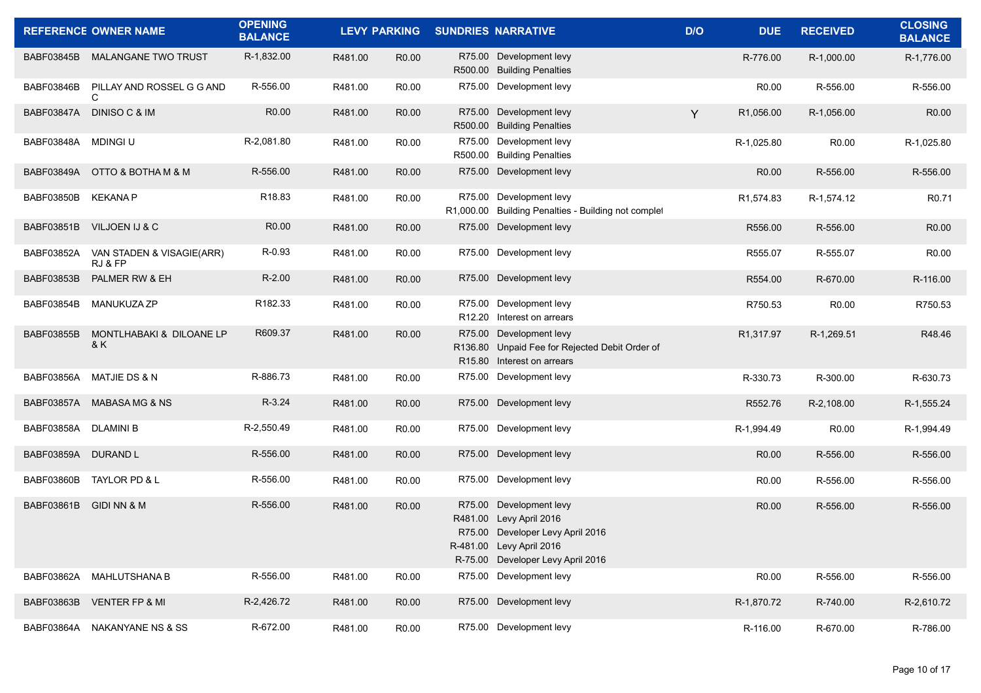|                   | <b>REFERENCE OWNER NAME</b>          | <b>OPENING</b><br><b>BALANCE</b> |         | <b>LEVY PARKING</b> |         | <b>SUNDRIES NARRATIVE</b>                                                                                                                       | D/O | <b>DUE</b>              | <b>RECEIVED</b>   | <b>CLOSING</b><br><b>BALANCE</b> |
|-------------------|--------------------------------------|----------------------------------|---------|---------------------|---------|-------------------------------------------------------------------------------------------------------------------------------------------------|-----|-------------------------|-------------------|----------------------------------|
|                   | BABF03845B MALANGANE TWO TRUST       | R-1,832.00                       | R481.00 | R <sub>0.00</sub>   |         | R75.00 Development levy<br>R500.00 Building Penalties                                                                                           |     | R-776.00                | R-1,000.00        | R-1,776.00                       |
| <b>BABF03846B</b> | PILLAY AND ROSSEL G G AND            | R-556.00                         | R481.00 | R <sub>0.00</sub>   |         | R75.00 Development levy                                                                                                                         |     | R <sub>0.00</sub>       | R-556.00          | R-556.00                         |
| <b>BABF03847A</b> | <b>DINISO C &amp; IM</b>             | R <sub>0.00</sub>                | R481.00 | R <sub>0.00</sub>   |         | R75.00 Development levy<br>R500.00 Building Penalties                                                                                           | Y   | R1,056.00               | R-1,056.00        | R <sub>0.00</sub>                |
| BABF03848A        | <b>MDINGI U</b>                      | R-2,081.80                       | R481.00 | R <sub>0.00</sub>   |         | R75.00 Development levy<br>R500.00 Building Penalties                                                                                           |     | R-1,025.80              | R0.00             | R-1,025.80                       |
| BABF03849A        | OTTO & BOTHA M & M                   | R-556.00                         | R481.00 | R <sub>0.00</sub>   |         | R75.00 Development levy                                                                                                                         |     | R0.00                   | R-556.00          | R-556.00                         |
| <b>BABF03850B</b> | KEKANA P                             | R18.83                           | R481.00 | R <sub>0.00</sub>   |         | R75.00 Development levy<br>R1,000.00 Building Penalties - Building not complet                                                                  |     | R <sub>1</sub> , 574.83 | R-1,574.12        | R <sub>0.71</sub>                |
| <b>BABF03851B</b> | VILJOEN IJ & C                       | R <sub>0.00</sub>                | R481.00 | R <sub>0.00</sub>   |         | R75.00 Development levy                                                                                                                         |     | R556.00                 | R-556.00          | R <sub>0.00</sub>                |
| BABF03852A        | VAN STADEN & VISAGIE(ARR)<br>RJ & FP | R-0.93                           | R481.00 | R <sub>0.00</sub>   |         | R75.00 Development levy                                                                                                                         |     | R555.07                 | R-555.07          | R <sub>0.00</sub>                |
| <b>BABF03853B</b> | PALMER RW & EH                       | $R-2.00$                         | R481.00 | R <sub>0.00</sub>   |         | R75.00 Development levy                                                                                                                         |     | R554.00                 | R-670.00          | R-116.00                         |
| BABF03854B        | <b>MANUKUZA ZP</b>                   | R182.33                          | R481.00 | R <sub>0.00</sub>   |         | R75.00 Development levy<br>R12.20 Interest on arrears                                                                                           |     | R750.53                 | R0.00             | R750.53                          |
| <b>BABF03855B</b> | MONTLHABAKI & DILOANE LP<br>8 K      | R609.37                          | R481.00 | R <sub>0.00</sub>   |         | R75.00 Development levy<br>R136.80 Unpaid Fee for Rejected Debit Order of<br>R15.80 Interest on arrears                                         |     | R <sub>1</sub> ,317.97  | R-1,269.51        | R48.46                           |
| <b>BABF03856A</b> | MATJIE DS & N                        | R-886.73                         | R481.00 | R0.00               |         | R75.00 Development levy                                                                                                                         |     | R-330.73                | R-300.00          | R-630.73                         |
| BABF03857A        | MABASA MG & NS                       | R-3.24                           | R481.00 | R <sub>0.00</sub>   |         | R75.00 Development levy                                                                                                                         |     | R552.76                 | R-2,108.00        | R-1,555.24                       |
| BABF03858A        | DLAMINI B                            | R-2,550.49                       | R481.00 | R0.00               |         | R75.00 Development levy                                                                                                                         |     | R-1,994.49              | R <sub>0.00</sub> | R-1,994.49                       |
| <b>BABF03859A</b> | <b>DURAND L</b>                      | R-556.00                         | R481.00 | R <sub>0.00</sub>   |         | R75.00 Development levy                                                                                                                         |     | R0.00                   | R-556.00          | R-556.00                         |
| <b>BABF03860B</b> | TAYLOR PD & L                        | R-556.00                         | R481.00 | R <sub>0.00</sub>   |         | R75.00 Development levy                                                                                                                         |     | R0.00                   | R-556.00          | R-556.00                         |
| BABF03861B        | GIDI NN & M                          | R-556.00                         | R481.00 | R <sub>0.00</sub>   | R481.00 | R75.00 Development levy<br>Levy April 2016<br>R75.00 Developer Levy April 2016<br>R-481.00 Levy April 2016<br>R-75.00 Developer Levy April 2016 |     | R0.00                   | R-556.00          | R-556.00                         |
|                   | BABF03862A MAHLUTSHANA B             | R-556.00                         | R481.00 | R0.00               |         | R75.00 Development levy                                                                                                                         |     | R0.00                   | R-556.00          | R-556.00                         |
| BABF03863B        | <b>VENTER FP &amp; MI</b>            | R-2,426.72                       | R481.00 | R0.00               |         | R75.00 Development levy                                                                                                                         |     | R-1,870.72              | R-740.00          | R-2,610.72                       |
|                   | BABF03864A NAKANYANE NS & SS         | R-672.00                         | R481.00 | R0.00               |         | R75.00 Development levy                                                                                                                         |     | R-116.00                | R-670.00          | R-786.00                         |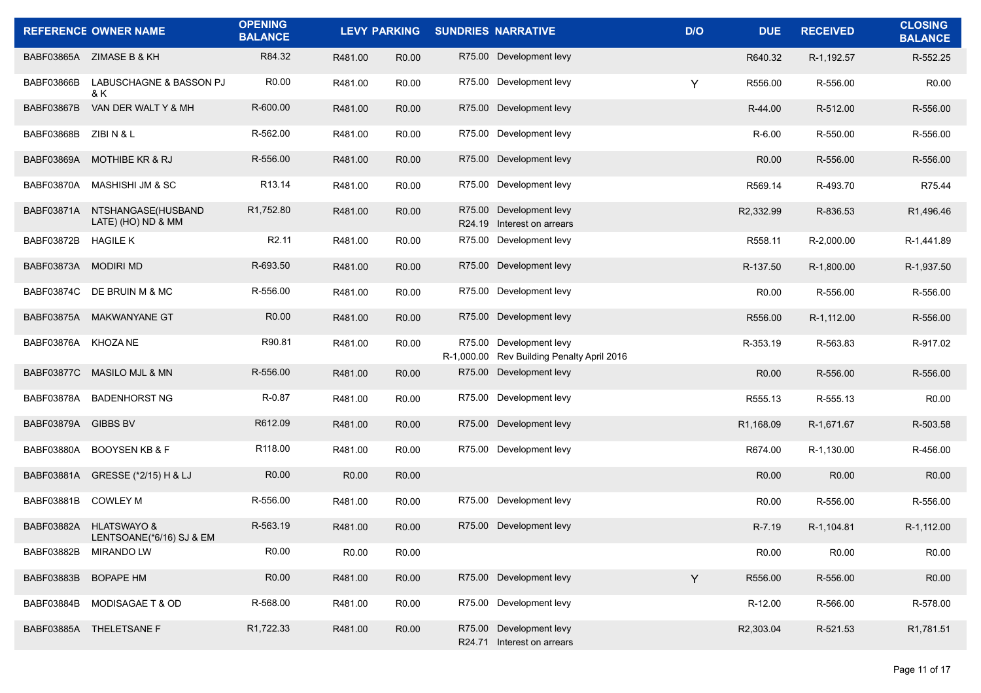|                     | <b>REFERENCE OWNER NAME</b>                        | <b>OPENING</b><br><b>BALANCE</b> |         |                   | LEVY PARKING SUNDRIES NARRATIVE                                       | D/O | <b>DUE</b>        | <b>RECEIVED</b> | <b>CLOSING</b><br><b>BALANCE</b> |
|---------------------|----------------------------------------------------|----------------------------------|---------|-------------------|-----------------------------------------------------------------------|-----|-------------------|-----------------|----------------------------------|
|                     | BABF03865A ZIMASE B & KH                           | R84.32                           | R481.00 | R <sub>0.00</sub> | R75.00 Development levy                                               |     | R640.32           | R-1,192.57      | R-552.25                         |
| BABF03866B          | LABUSCHAGNE & BASSON PJ<br>& K                     | R0.00                            | R481.00 | R <sub>0.00</sub> | R75.00 Development levy                                               | Y   | R556.00           | R-556.00        | R <sub>0.00</sub>                |
| <b>BABF03867B</b>   | VAN DER WALT Y & MH                                | R-600.00                         | R481.00 | R <sub>0.00</sub> | R75.00 Development levy                                               |     | R-44.00           | R-512.00        | R-556.00                         |
| <b>BABF03868B</b>   | ZIBI N & L                                         | R-562.00                         | R481.00 | R0.00             | R75.00 Development levy                                               |     | R-6.00            | R-550.00        | R-556.00                         |
| <b>BABF03869A</b>   | <b>MOTHIBE KR &amp; RJ</b>                         | R-556.00                         | R481.00 | R <sub>0.00</sub> | R75.00 Development levy                                               |     | R <sub>0.00</sub> | R-556.00        | R-556.00                         |
| BABF03870A          | MASHISHI JM & SC                                   | R <sub>13.14</sub>               | R481.00 | R <sub>0.00</sub> | R75.00 Development levy                                               |     | R569.14           | R-493.70        | R75.44                           |
| BABF03871A          | NTSHANGASE(HUSBAND<br>LATE) (HO) ND & MM           | R1,752.80                        | R481.00 | R <sub>0.00</sub> | R75.00 Development levy<br>R24.19 Interest on arrears                 |     | R2,332.99         | R-836.53        | R1,496.46                        |
| BABF03872B          | <b>HAGILE K</b>                                    | R <sub>2.11</sub>                | R481.00 | R <sub>0.00</sub> | R75.00 Development levy                                               |     | R558.11           | R-2,000.00      | R-1,441.89                       |
| <b>BABF03873A</b>   | <b>MODIRI MD</b>                                   | R-693.50                         | R481.00 | R <sub>0.00</sub> | R75.00 Development levy                                               |     | R-137.50          | R-1.800.00      | R-1,937.50                       |
|                     | BABF03874C DE BRUIN M & MC                         | R-556.00                         | R481.00 | R0.00             | R75.00 Development levy                                               |     | R <sub>0.00</sub> | R-556.00        | R-556.00                         |
| BABF03875A          | MAKWANYANE GT                                      | R <sub>0.00</sub>                | R481.00 | R <sub>0.00</sub> | R75.00 Development levy                                               |     | R556.00           | R-1,112.00      | R-556.00                         |
| BABF03876A KHOZA NE |                                                    | R90.81                           | R481.00 | R0.00             | R75.00 Development levy<br>R-1,000.00 Rev Building Penalty April 2016 |     | R-353.19          | R-563.83        | R-917.02                         |
| <b>BABF03877C</b>   | <b>MASILO MJL &amp; MN</b>                         | R-556.00                         | R481.00 | R <sub>0.00</sub> | R75.00 Development levy                                               |     | R <sub>0.00</sub> | R-556.00        | R-556.00                         |
| BABF03878A          | <b>BADENHORST NG</b>                               | R-0.87                           | R481.00 | R <sub>0.00</sub> | R75.00 Development levy                                               |     | R555.13           | R-555.13        | R <sub>0.00</sub>                |
| BABF03879A          | <b>GIBBS BV</b>                                    | R612.09                          | R481.00 | R <sub>0.00</sub> | R75.00 Development levy                                               |     | R1,168.09         | R-1,671.67      | R-503.58                         |
| <b>BABF03880A</b>   | <b>BOOYSEN KB &amp; F</b>                          | R118.00                          | R481.00 | R <sub>0.00</sub> | R75.00 Development levy                                               |     | R674.00           | R-1,130.00      | R-456.00                         |
| BABF03881A          | GRESSE (*2/15) H & LJ                              | R0.00                            | R0.00   | R <sub>0.00</sub> |                                                                       |     | R <sub>0.00</sub> | R0.00           | R <sub>0.00</sub>                |
| BABF03881B          | <b>COWLEY M</b>                                    | R-556.00                         | R481.00 | R <sub>0.00</sub> | R75.00 Development levy                                               |     | R <sub>0.00</sub> | R-556.00        | R-556.00                         |
| BABF03882A          | <b>HLATSWAYO &amp;</b><br>LENTSOANE(*6/16) SJ & EM | R-563.19                         | R481.00 | R <sub>0.00</sub> | R75.00 Development levy                                               |     | R-7.19            | R-1,104.81      | R-1.112.00                       |
|                     | BABF03882B MIRANDO LW                              | R0.00                            | R0.00   | R0.00             |                                                                       |     | R0.00             | R0.00           | R0.00                            |
|                     | BABF03883B BOPAPE HM                               | R0.00                            | R481.00 | R0.00             | R75.00 Development levy                                               | Y   | R556.00           | R-556.00        | R0.00                            |
| BABF03884B          | MODISAGAE T & OD                                   | R-568.00                         | R481.00 | R0.00             | R75.00 Development levy                                               |     | R-12.00           | R-566.00        | R-578.00                         |
|                     | BABF03885A THELETSANE F                            | R1,722.33                        | R481.00 | R0.00             | R75.00 Development levy<br>R24.71 Interest on arrears                 |     | R2,303.04         | R-521.53        | R1,781.51                        |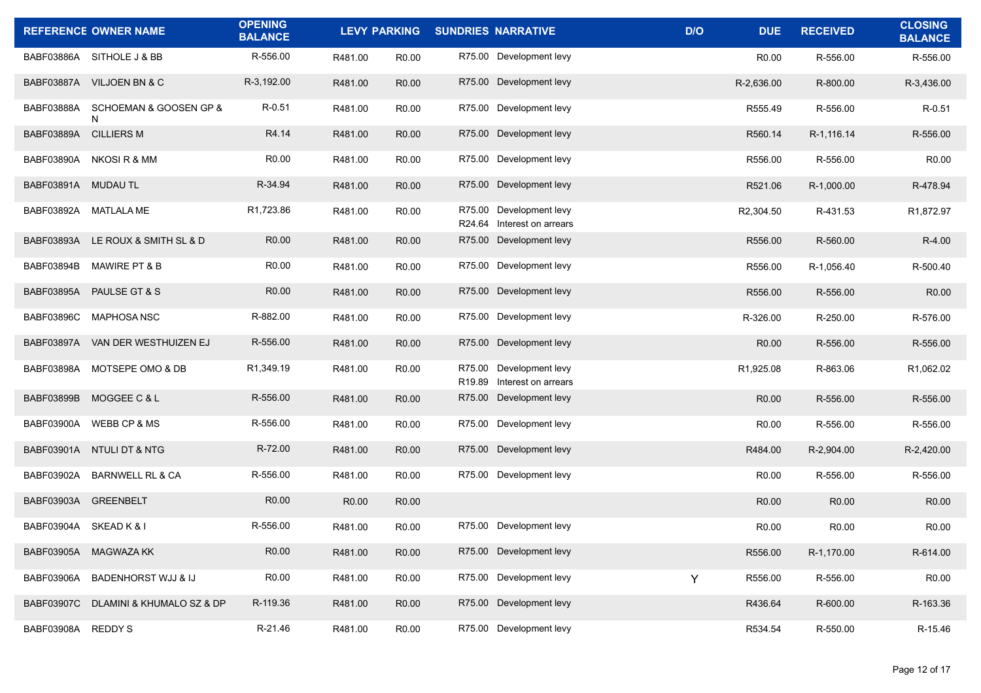|                        | <b>REFERENCE OWNER NAME</b>       | <b>OPENING</b><br><b>BALANCE</b> |                   |                   | LEVY PARKING SUNDRIES NARRATIVE                       | D/O | <b>DUE</b>        | <b>RECEIVED</b>   | <b>CLOSING</b><br><b>BALANCE</b> |
|------------------------|-----------------------------------|----------------------------------|-------------------|-------------------|-------------------------------------------------------|-----|-------------------|-------------------|----------------------------------|
|                        | BABF03886A SITHOLE J & BB         | R-556.00                         | R481.00           | R <sub>0.00</sub> | R75.00 Development levy                               |     | R <sub>0.00</sub> | R-556.00          | R-556.00                         |
|                        | BABF03887A VILJOEN BN & C         | R-3,192.00                       | R481.00           | R <sub>0.00</sub> | R75.00 Development levy                               |     | R-2,636.00        | R-800.00          | R-3,436.00                       |
| BABF03888A             | SCHOEMAN & GOOSEN GP &<br>N       | R-0.51                           | R481.00           | R <sub>0.00</sub> | R75.00 Development levy                               |     | R555.49           | R-556.00          | $R - 0.51$                       |
| BABF03889A             | <b>CILLIERS M</b>                 | R4.14                            | R481.00           | R <sub>0.00</sub> | R75.00 Development levy                               |     | R560.14           | R-1,116.14        | R-556.00                         |
|                        | BABF03890A NKOSIR & MM            | R <sub>0.00</sub>                | R481.00           | R <sub>0.00</sub> | R75.00 Development levy                               |     | R556.00           | R-556.00          | R <sub>0.00</sub>                |
| BABF03891A MUDAU TL    |                                   | R-34.94                          | R481.00           | R <sub>0.00</sub> | R75.00 Development levy                               |     | R521.06           | R-1,000.00        | R-478.94                         |
|                        | BABF03892A MATLALA ME             | R1,723.86                        | R481.00           | R <sub>0.00</sub> | R75.00 Development levy<br>R24.64 Interest on arrears |     | R2,304.50         | R-431.53          | R1,872.97                        |
|                        | BABF03893A LE ROUX & SMITH SL & D | R <sub>0.00</sub>                | R481.00           | R <sub>0.00</sub> | R75.00 Development levy                               |     | R556.00           | R-560.00          | R-4.00                           |
| BABF03894B             | <b>MAWIRE PT &amp; B</b>          | R0.00                            | R481.00           | R <sub>0.00</sub> | R75.00 Development levy                               |     | R556.00           | R-1,056.40        | R-500.40                         |
|                        | BABF03895A PAULSE GT & S          | R <sub>0.00</sub>                | R481.00           | R <sub>0.00</sub> | R75.00 Development levy                               |     | R556.00           | R-556.00          | R <sub>0.00</sub>                |
| <b>BABF03896C</b>      | MAPHOSA NSC                       | R-882.00                         | R481.00           | R <sub>0.00</sub> | R75.00 Development levy                               |     | R-326.00          | R-250.00          | R-576.00                         |
| BABF03897A             | VAN DER WESTHUIZEN EJ             | R-556.00                         | R481.00           | R <sub>0.00</sub> | R75.00 Development levy                               |     | R <sub>0.00</sub> | R-556.00          | R-556.00                         |
| BABF03898A             | MOTSEPE OMO & DB                  | R1,349.19                        | R481.00           | R <sub>0.00</sub> | R75.00 Development levy<br>R19.89 Interest on arrears |     | R1,925.08         | R-863.06          | R1,062.02                        |
| <b>BABF03899B</b>      | MOGGEE C & L                      | R-556.00                         | R481.00           | R <sub>0.00</sub> | R75.00 Development levy                               |     | R <sub>0.00</sub> | R-556.00          | R-556.00                         |
| BABF03900A             | WEBB CP & MS                      | R-556.00                         | R481.00           | R <sub>0.00</sub> | R75.00 Development levy                               |     | R <sub>0.00</sub> | R-556.00          | R-556.00                         |
| BABF03901A             | NTULI DT & NTG                    | R-72.00                          | R481.00           | R <sub>0.00</sub> | R75.00 Development levy                               |     | R484.00           | R-2,904.00        | R-2,420.00                       |
| BABF03902A             | <b>BARNWELL RL &amp; CA</b>       | R-556.00                         | R481.00           | R0.00             | R75.00 Development levy                               |     | R <sub>0.00</sub> | R-556.00          | R-556.00                         |
| BABF03903A GREENBELT   |                                   | R <sub>0.00</sub>                | R <sub>0.00</sub> | R <sub>0.00</sub> |                                                       |     | R <sub>0.00</sub> | R <sub>0.00</sub> | R <sub>0.00</sub>                |
| BABF03904A SKEAD K & I |                                   | R-556.00                         | R481.00           | R <sub>0.00</sub> | R75.00 Development levy                               |     | R <sub>0.00</sub> | R <sub>0.00</sub> | R0.00                            |
| <b>BABF03905A</b>      | MAGWAZA KK                        | R0.00                            | R481.00           | R0.00             | R75.00 Development levy                               |     | R556.00           | R-1,170.00        | R-614.00                         |
| BABF03906A             | <b>BADENHORST WJJ &amp; IJ</b>    | R0.00                            | R481.00           | R0.00             | R75.00 Development levy                               | Y   | R556.00           | R-556.00          | R0.00                            |
| <b>BABF03907C</b>      | DLAMINI & KHUMALO SZ & DP         | R-119.36                         | R481.00           | R0.00             | R75.00 Development levy                               |     | R436.64           | R-600.00          | R-163.36                         |
| BABF03908A REDDYS      |                                   | R-21.46                          | R481.00           | R0.00             | R75.00 Development levy                               |     | R534.54           | R-550.00          | R-15.46                          |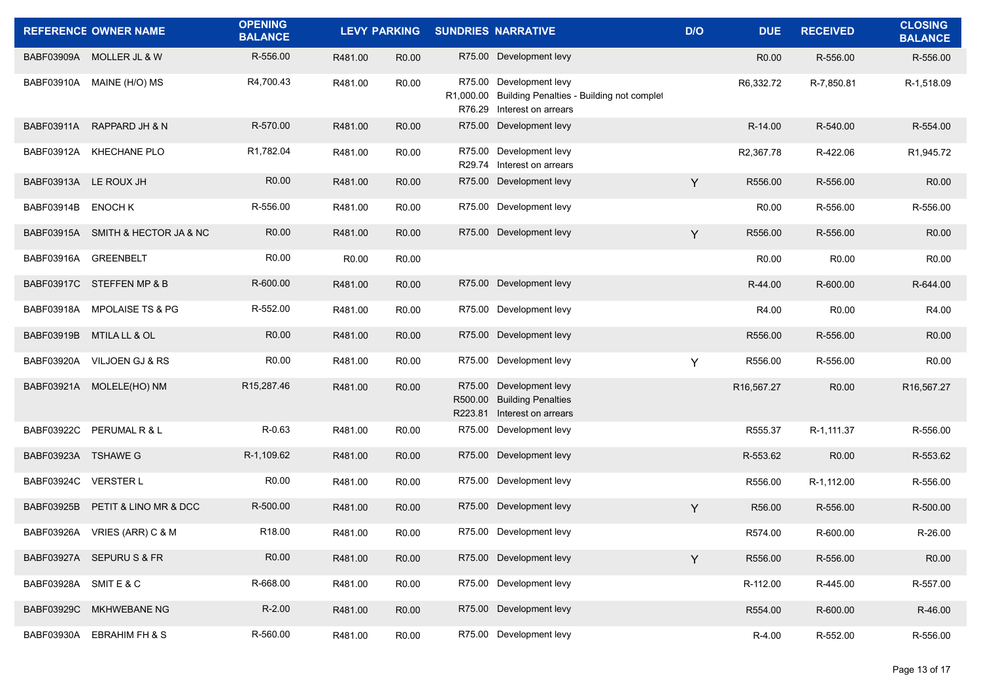|                       | <b>REFERENCE OWNER NAME</b>       | <b>OPENING</b><br><b>BALANCE</b> |         | <b>LEVY PARKING</b> | <b>SUNDRIES NARRATIVE</b>                                                                                    | D/O | <b>DUE</b>        | <b>RECEIVED</b> | <b>CLOSING</b><br><b>BALANCE</b> |
|-----------------------|-----------------------------------|----------------------------------|---------|---------------------|--------------------------------------------------------------------------------------------------------------|-----|-------------------|-----------------|----------------------------------|
|                       | BABF03909A MOLLER JL & W          | R-556.00                         | R481.00 | R <sub>0.00</sub>   | R75.00 Development levy                                                                                      |     | R <sub>0.00</sub> | R-556.00        | R-556.00                         |
| BABF03910A            | MAINE (H/O) MS                    | R4,700.43                        | R481.00 | R0.00               | R75.00 Development levy<br>R1,000.00 Building Penalties - Building not complet<br>R76.29 Interest on arrears |     | R6,332.72         | R-7,850.81      | R-1,518.09                       |
| <b>BABF03911A</b>     | RAPPARD JH & N                    | R-570.00                         | R481.00 | R <sub>0.00</sub>   | R75.00 Development levy                                                                                      |     | R-14.00           | R-540.00        | R-554.00                         |
| BABF03912A            | <b>KHECHANE PLO</b>               | R1,782.04                        | R481.00 | R <sub>0.00</sub>   | R75.00 Development levy<br>R29.74 Interest on arrears                                                        |     | R2,367.78         | R-422.06        | R1,945.72                        |
| BABF03913A LE ROUX JH |                                   | R0.00                            | R481.00 | R <sub>0.00</sub>   | R75.00 Development levy                                                                                      | Y   | R556.00           | R-556.00        | R <sub>0.00</sub>                |
| BABF03914B            | <b>ENOCH K</b>                    | R-556.00                         | R481.00 | R <sub>0.00</sub>   | R75.00 Development levy                                                                                      |     | R0.00             | R-556.00        | R-556.00                         |
|                       | BABF03915A SMITH & HECTOR JA & NC | R <sub>0.00</sub>                | R481.00 | R0.00               | R75.00 Development levy                                                                                      | Y   | R556.00           | R-556.00        | R <sub>0.00</sub>                |
| BABF03916A            | <b>GREENBELT</b>                  | R0.00                            | R0.00   | R0.00               |                                                                                                              |     | R0.00             | R0.00           | R <sub>0.00</sub>                |
|                       | BABF03917C STEFFEN MP & B         | R-600.00                         | R481.00 | R <sub>0.00</sub>   | R75.00 Development levy                                                                                      |     | R-44.00           | R-600.00        | R-644.00                         |
| BABF03918A            | <b>MPOLAISE TS &amp; PG</b>       | R-552.00                         | R481.00 | R <sub>0.00</sub>   | R75.00 Development levy                                                                                      |     | R4.00             | R0.00           | R4.00                            |
| <b>BABF03919B</b>     | <b>MTILA LL &amp; OL</b>          | R0.00                            | R481.00 | R <sub>0.00</sub>   | R75.00 Development levy                                                                                      |     | R556.00           | R-556.00        | R <sub>0.00</sub>                |
| BABF03920A            | VILJOEN GJ & RS                   | R <sub>0.00</sub>                | R481.00 | R <sub>0.00</sub>   | R75.00 Development levy                                                                                      | Y   | R556.00           | R-556.00        | R <sub>0.00</sub>                |
| BABF03921A            | MOLELE(HO) NM                     | R15,287.46                       | R481.00 | R <sub>0.00</sub>   | R75.00 Development levy<br>R500.00 Building Penalties<br>R223.81 Interest on arrears                         |     | R16,567.27        | R0.00           | R16,567.27                       |
| BABF03922C            | PERUMAL R & L                     | R-0.63                           | R481.00 | R0.00               | R75.00 Development levy                                                                                      |     | R555.37           | R-1,111.37      | R-556.00                         |
| BABF03923A TSHAWE G   |                                   | R-1,109.62                       | R481.00 | R <sub>0.00</sub>   | R75.00 Development levy                                                                                      |     | R-553.62          | R0.00           | R-553.62                         |
| BABF03924C VERSTER L  |                                   | R <sub>0.00</sub>                | R481.00 | R <sub>0.00</sub>   | R75.00 Development levy                                                                                      |     | R556.00           | R-1,112.00      | R-556.00                         |
| <b>BABF03925B</b>     | PETIT & LINO MR & DCC             | R-500.00                         | R481.00 | R <sub>0.00</sub>   | R75.00 Development levy                                                                                      | Y   | R56.00            | R-556.00        | R-500.00                         |
|                       | BABF03926A VRIES (ARR) C & M      | R18.00                           | R481.00 | R <sub>0.00</sub>   | R75.00 Development levy                                                                                      |     | R574.00           | R-600.00        | R-26.00                          |
|                       | BABF03927A SEPURU S & FR          | R0.00                            | R481.00 | R0.00               | R75.00 Development levy                                                                                      | Y   | R556.00           | R-556.00        | R0.00                            |
| BABF03928A SMITE & C  |                                   | R-668.00                         | R481.00 | R0.00               | R75.00 Development levy                                                                                      |     | R-112.00          | R-445.00        | R-557.00                         |
| <b>BABF03929C</b>     | MKHWEBANE NG                      | $R-2.00$                         | R481.00 | R <sub>0.00</sub>   | R75.00 Development levy                                                                                      |     | R554.00           | R-600.00        | R-46.00                          |
| BABF03930A            | EBRAHIM FH & S                    | R-560.00                         | R481.00 | R0.00               | R75.00 Development levy                                                                                      |     | R-4.00            | R-552.00        | R-556.00                         |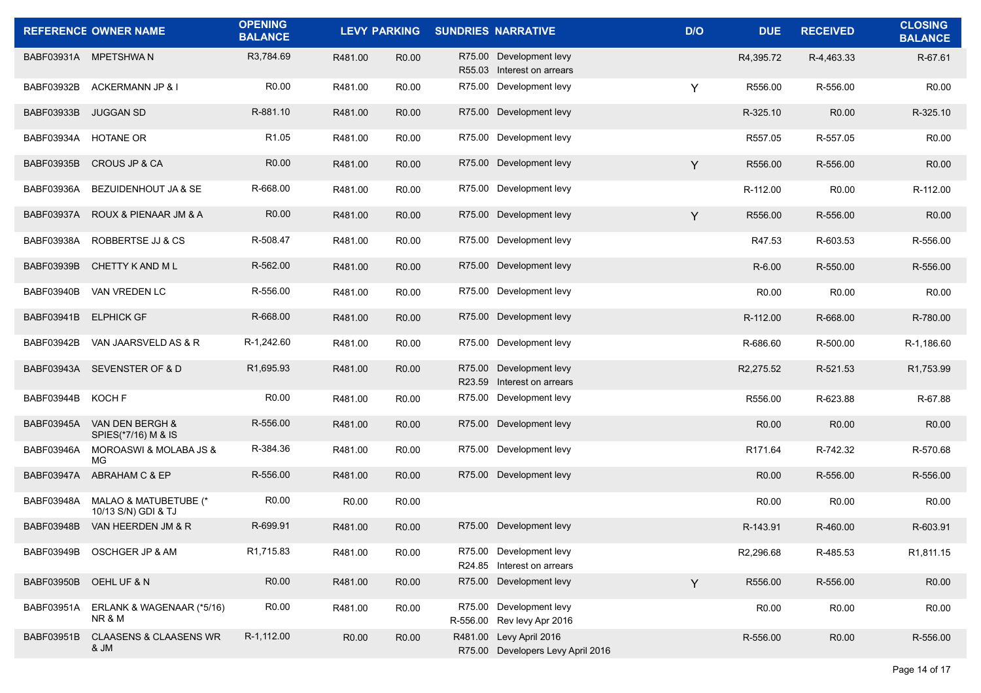|                   | <b>REFERENCE OWNER NAME</b>                    | <b>OPENING</b><br><b>BALANCE</b> |                   | <b>LEVY PARKING</b> | <b>SUNDRIES NARRATIVE</b>                                    | D/O | <b>DUE</b>        | <b>RECEIVED</b>   | <b>CLOSING</b><br><b>BALANCE</b> |
|-------------------|------------------------------------------------|----------------------------------|-------------------|---------------------|--------------------------------------------------------------|-----|-------------------|-------------------|----------------------------------|
|                   | BABF03931A MPETSHWAN                           | R3,784.69                        | R481.00           | R <sub>0.00</sub>   | R75.00 Development levy<br>R55.03 Interest on arrears        |     | R4,395.72         | R-4,463.33        | R-67.61                          |
| BABF03932B        | ACKERMANN JP & I                               | R <sub>0.00</sub>                | R481.00           | R <sub>0.00</sub>   | R75.00 Development levy                                      | Y   | R556.00           | R-556.00          | R <sub>0.00</sub>                |
| BABF03933B        | <b>JUGGAN SD</b>                               | R-881.10                         | R481.00           | R <sub>0.00</sub>   | R75.00 Development levy                                      |     | R-325.10          | R0.00             | R-325.10                         |
| BABF03934A        | <b>HOTANE OR</b>                               | R <sub>1.05</sub>                | R481.00           | R <sub>0.00</sub>   | R75.00 Development levy                                      |     | R557.05           | R-557.05          | R <sub>0.00</sub>                |
| BABF03935B        | CROUS JP & CA                                  | R <sub>0.00</sub>                | R481.00           | R <sub>0.00</sub>   | R75.00 Development levy                                      | Y   | R556.00           | R-556.00          | R <sub>0.00</sub>                |
| BABF03936A        | BEZUIDENHOUT JA & SE                           | R-668.00                         | R481.00           | R <sub>0.00</sub>   | R75.00 Development levy                                      |     | R-112.00          | R0.00             | R-112.00                         |
| BABF03937A        | ROUX & PIENAAR JM & A                          | R <sub>0.00</sub>                | R481.00           | R <sub>0.00</sub>   | R75.00 Development levy                                      | Y   | R556.00           | R-556.00          | R <sub>0.00</sub>                |
| BABF03938A        | ROBBERTSE JJ & CS                              | R-508.47                         | R481.00           | R <sub>0.00</sub>   | R75.00 Development levy                                      |     | R47.53            | R-603.53          | R-556.00                         |
| BABF03939B        | CHETTY K AND M L                               | R-562.00                         | R481.00           | R <sub>0.00</sub>   | R75.00 Development levy                                      |     | R-6.00            | R-550.00          | R-556.00                         |
| <b>BABF03940B</b> | VAN VREDEN LC                                  | R-556.00                         | R481.00           | R <sub>0.00</sub>   | R75.00 Development levy                                      |     | R <sub>0.00</sub> | R <sub>0.00</sub> | R <sub>0.00</sub>                |
| BABF03941B        | <b>ELPHICK GF</b>                              | R-668.00                         | R481.00           | R <sub>0.00</sub>   | R75.00 Development levy                                      |     | R-112.00          | R-668.00          | R-780.00                         |
| BABF03942B        | VAN JAARSVELD AS & R                           | R-1,242.60                       | R481.00           | R <sub>0.00</sub>   | R75.00 Development levy                                      |     | R-686.60          | R-500.00          | R-1,186.60                       |
|                   | BABF03943A SEVENSTER OF & D                    | R1,695.93                        | R481.00           | R <sub>0.00</sub>   | R75.00 Development levy<br>R23.59 Interest on arrears        |     | R2,275.52         | R-521.53          | R1,753.99                        |
| BABF03944B        | KOCH F                                         | R0.00                            | R481.00           | R <sub>0.00</sub>   | R75.00 Development levy                                      |     | R556.00           | R-623.88          | R-67.88                          |
| BABF03945A        | VAN DEN BERGH &<br>SPIES(*7/16) M & IS         | R-556.00                         | R481.00           | R <sub>0.00</sub>   | R75.00 Development levy                                      |     | R <sub>0.00</sub> | R0.00             | R <sub>0.00</sub>                |
| <b>BABF03946A</b> | <b>MOROASWI &amp; MOLABA JS &amp;</b><br>МG    | R-384.36                         | R481.00           | R <sub>0.00</sub>   | R75.00 Development levy                                      |     | R171.64           | R-742.32          | R-570.68                         |
| <b>BABF03947A</b> | ABRAHAM C & EP                                 | R-556.00                         | R481.00           | R <sub>0.00</sub>   | R75.00 Development levy                                      |     | R <sub>0.00</sub> | R-556.00          | R-556.00                         |
| BABF03948A        | MALAO & MATUBETUBE (*<br>10/13 S/N) GDI & TJ   | R <sub>0.00</sub>                | R <sub>0.00</sub> | R <sub>0.00</sub>   |                                                              |     | R <sub>0.00</sub> | R <sub>0.00</sub> | R <sub>0.00</sub>                |
| <b>BABF03948B</b> | VAN HEERDEN JM & R                             | R-699.91                         | R481.00           | R <sub>0.00</sub>   | R75.00 Development levy                                      |     | R-143.91          | R-460.00          | R-603.91                         |
| BABF03949B        | OSCHGER JP & AM                                | R1,715.83                        | R481.00           | R0.00               | R75.00 Development levy<br>R24.85 Interest on arrears        |     | R2,296.68         | R-485.53          | R1,811.15                        |
| <b>BABF03950B</b> | OEHL UF & N                                    | R0.00                            | R481.00           | R0.00               | R75.00 Development levy                                      | Y   | R556.00           | R-556.00          | R0.00                            |
| BABF03951A        | ERLANK & WAGENAAR (*5/16)<br><b>NR &amp; M</b> | R0.00                            | R481.00           | R0.00               | R75.00 Development levy<br>R-556.00 Rev levy Apr 2016        |     | R0.00             | R0.00             | R0.00                            |
| BABF03951B        | <b>CLAASENS &amp; CLAASENS WR</b><br>& JM      | R-1,112.00                       | R0.00             | R <sub>0.00</sub>   | R481.00 Levy April 2016<br>R75.00 Developers Levy April 2016 |     | R-556.00          | R0.00             | R-556.00                         |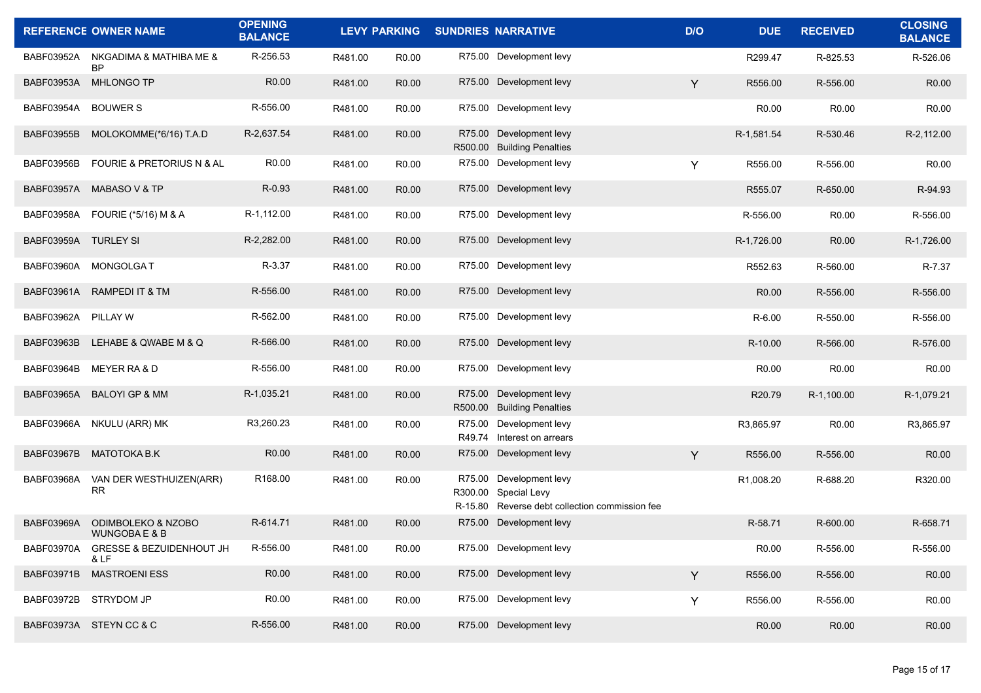|                   | <b>REFERENCE OWNER NAME</b>                 | <b>OPENING</b><br><b>BALANCE</b> |         | <b>LEVY PARKING</b> | <b>SUNDRIES NARRATIVE</b>                                                                         | D/O | <b>DUE</b>         | <b>RECEIVED</b>   | <b>CLOSING</b><br><b>BALANCE</b> |
|-------------------|---------------------------------------------|----------------------------------|---------|---------------------|---------------------------------------------------------------------------------------------------|-----|--------------------|-------------------|----------------------------------|
| BABF03952A        | NKGADIMA & MATHIBA ME &<br><b>BP</b>        | R-256.53                         | R481.00 | R <sub>0.00</sub>   | R75.00 Development levy                                                                           |     | R299.47            | R-825.53          | R-526.06                         |
| BABF03953A        | MHLONGO TP                                  | R <sub>0.00</sub>                | R481.00 | R <sub>0.00</sub>   | R75.00 Development levy                                                                           | Y   | R556.00            | R-556.00          | R0.00                            |
| BABF03954A        | <b>BOUWER S</b>                             | R-556.00                         | R481.00 | R <sub>0.00</sub>   | R75.00 Development levy                                                                           |     | R <sub>0.00</sub>  | R0.00             | R <sub>0.00</sub>                |
| <b>BABF03955B</b> | MOLOKOMME(*6/16) T.A.D                      | R-2,637.54                       | R481.00 | R <sub>0.00</sub>   | R75.00 Development levy<br>R500.00 Building Penalties                                             |     | R-1,581.54         | R-530.46          | R-2,112.00                       |
| <b>BABF03956B</b> | FOURIE & PRETORIUS N & AL                   | R <sub>0.00</sub>                | R481.00 | R <sub>0.00</sub>   | R75.00 Development levy                                                                           | Y   | R556.00            | R-556.00          | R <sub>0.00</sub>                |
| <b>BABF03957A</b> | <b>MABASO V &amp; TP</b>                    | R-0.93                           | R481.00 | R <sub>0.00</sub>   | R75.00 Development levy                                                                           |     | R555.07            | R-650.00          | R-94.93                          |
| BABF03958A        | FOURIE (*5/16) M & A                        | R-1,112.00                       | R481.00 | R <sub>0.00</sub>   | R75.00 Development levy                                                                           |     | R-556.00           | R0.00             | R-556.00                         |
| BABF03959A        | <b>TURLEY SI</b>                            | R-2,282.00                       | R481.00 | R <sub>0.00</sub>   | R75.00 Development levy                                                                           |     | R-1,726.00         | R <sub>0.00</sub> | R-1,726.00                       |
| BABF03960A        | MONGOLGA T                                  | R-3.37                           | R481.00 | R0.00               | R75.00 Development levy                                                                           |     | R552.63            | R-560.00          | R-7.37                           |
| BABF03961A        | RAMPEDI IT & TM                             | R-556.00                         | R481.00 | R <sub>0.00</sub>   | R75.00 Development levy                                                                           |     | R <sub>0.00</sub>  | R-556.00          | R-556.00                         |
| BABF03962A        | PILLAY W                                    | R-562.00                         | R481.00 | R <sub>0.00</sub>   | R75.00 Development levy                                                                           |     | $R-6.00$           | R-550.00          | R-556.00                         |
| BABF03963B        | LEHABE & QWABE M & Q                        | R-566.00                         | R481.00 | R <sub>0.00</sub>   | R75.00 Development levy                                                                           |     | R-10.00            | R-566.00          | R-576.00                         |
| BABF03964B        | MEYER RA & D                                | R-556.00                         | R481.00 | R <sub>0.00</sub>   | R75.00 Development levy                                                                           |     | R <sub>0.00</sub>  | R <sub>0.00</sub> | R <sub>0.00</sub>                |
| BABF03965A        | <b>BALOYI GP &amp; MM</b>                   | R-1,035.21                       | R481.00 | R <sub>0.00</sub>   | R75.00 Development levy<br>R500.00 Building Penalties                                             |     | R <sub>20.79</sub> | R-1,100.00        | R-1,079.21                       |
| BABF03966A        | NKULU (ARR) MK                              | R3,260.23                        | R481.00 | R <sub>0.00</sub>   | R75.00 Development levy<br>R49.74 Interest on arrears                                             |     | R3,865.97          | R0.00             | R3,865.97                        |
| <b>BABF03967B</b> | <b>MATOTOKA B.K</b>                         | R0.00                            | R481.00 | R <sub>0.00</sub>   | R75.00 Development levy                                                                           | Y   | R556.00            | R-556.00          | R <sub>0.00</sub>                |
| BABF03968A        | VAN DER WESTHUIZEN(ARR)<br><b>RR</b>        | R168.00                          | R481.00 | R <sub>0.00</sub>   | R75.00 Development levy<br>R300.00 Special Levy<br>R-15.80 Reverse debt collection commission fee |     | R1,008.20          | R-688.20          | R320.00                          |
| <b>BABF03969A</b> | ODIMBOLEKO & NZOBO<br>WUNGOBA E & B         | R-614.71                         | R481.00 | R <sub>0.00</sub>   | R75.00 Development levy                                                                           |     | R-58.71            | R-600.00          | R-658.71                         |
| BABF03970A        | <b>GRESSE &amp; BEZUIDENHOUT JH</b><br>& LF | R-556.00                         | R481.00 | R0.00               | R75.00 Development levy                                                                           |     | R <sub>0.00</sub>  | R-556.00          | R-556.00                         |
| BABF03971B        | <b>MASTROENI ESS</b>                        | R0.00                            | R481.00 | R0.00               | R75.00 Development levy                                                                           | Y   | R556.00            | R-556.00          | R0.00                            |
| BABF03972B        | STRYDOM JP                                  | R <sub>0.00</sub>                | R481.00 | R <sub>0.00</sub>   | R75.00 Development levy                                                                           | Y   | R556.00            | R-556.00          | R0.00                            |
|                   | BABF03973A STEYN CC & C                     | R-556.00                         | R481.00 | R0.00               | R75.00 Development levy                                                                           |     | R0.00              | R0.00             | R <sub>0.00</sub>                |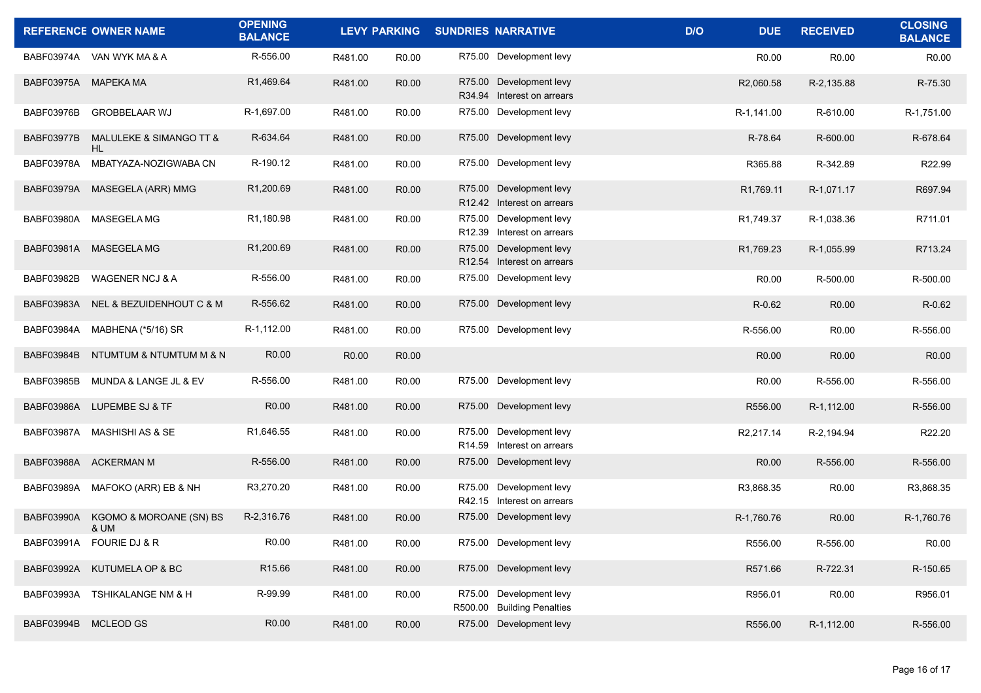|                      | <b>REFERENCE OWNER NAME</b>     | <b>OPENING</b><br><b>BALANCE</b> |         |                   | LEVY PARKING SUNDRIES NARRATIVE                       | D/O<br><b>DUE</b> | <b>RECEIVED</b>   | <b>CLOSING</b><br><b>BALANCE</b> |
|----------------------|---------------------------------|----------------------------------|---------|-------------------|-------------------------------------------------------|-------------------|-------------------|----------------------------------|
|                      | BABF03974A VAN WYK MA & A       | R-556.00                         | R481.00 | R <sub>0.00</sub> | R75.00 Development levy                               | R <sub>0.00</sub> | R0.00             | R <sub>0.00</sub>                |
| BABF03975A MAPEKA MA |                                 | R1,469.64                        | R481.00 | R <sub>0.00</sub> | R75.00 Development levy<br>R34.94 Interest on arrears | R2,060.58         | R-2,135.88        | R-75.30                          |
| BABF03976B           | <b>GROBBELAAR WJ</b>            | R-1,697.00                       | R481.00 | R <sub>0.00</sub> | R75.00 Development levy                               | R-1,141.00        | R-610.00          | R-1,751.00                       |
| <b>BABF03977B</b>    | MALULEKE & SIMANGO TT &<br>HL.  | R-634.64                         | R481.00 | R <sub>0.00</sub> | R75.00 Development levy                               | R-78.64           | R-600.00          | R-678.64                         |
| BABF03978A           | MBATYAZA-NOZIGWABA CN           | R-190.12                         | R481.00 | R <sub>0.00</sub> | R75.00 Development levy                               | R365.88           | R-342.89          | R22.99                           |
|                      | BABF03979A MASEGELA (ARR) MMG   | R1,200.69                        | R481.00 | R <sub>0.00</sub> | R75.00 Development levy<br>R12.42 Interest on arrears | R1,769.11         | R-1,071.17        | R697.94                          |
| BABF03980A           | MASEGELA MG                     | R1,180.98                        | R481.00 | R <sub>0.00</sub> | R75.00 Development levy<br>R12.39 Interest on arrears | R1,749.37         | R-1,038.36        | R711.01                          |
|                      | BABF03981A MASEGELA MG          | R1,200.69                        | R481.00 | R0.00             | R75.00 Development levy<br>R12.54 Interest on arrears | R1,769.23         | R-1,055.99        | R713.24                          |
| BABF03982B           | <b>WAGENER NCJ &amp; A</b>      | R-556.00                         | R481.00 | R <sub>0.00</sub> | R75.00 Development levy                               | R <sub>0.00</sub> | R-500.00          | R-500.00                         |
| BABF03983A           | NEL & BEZUIDENHOUT C & M        | R-556.62                         | R481.00 | R <sub>0.00</sub> | R75.00 Development levy                               | R-0.62            | R <sub>0.00</sub> | R-0.62                           |
| BABF03984A           | MABHENA (*5/16) SR              | R-1,112.00                       | R481.00 | R <sub>0.00</sub> | R75.00 Development levy                               | R-556.00          | R <sub>0.00</sub> | R-556.00                         |
| <b>BABF03984B</b>    | NTUMTUM & NTUMTUM M & N         | R <sub>0.00</sub>                | R0.00   | R0.00             |                                                       | R <sub>0.00</sub> | R0.00             | R0.00                            |
| <b>BABF03985B</b>    | MUNDA & LANGE JL & EV           | R-556.00                         | R481.00 | R <sub>0.00</sub> | R75.00 Development levy                               | R <sub>0.00</sub> | R-556.00          | R-556.00                         |
| BABF03986A           | <b>LUPEMBE SJ &amp; TF</b>      | R <sub>0.00</sub>                | R481.00 | R <sub>0.00</sub> | R75.00 Development levy                               | R556.00           | R-1,112.00        | R-556.00                         |
|                      | BABF03987A MASHISHI AS & SE     | R1,646.55                        | R481.00 | R <sub>0.00</sub> | R75.00 Development levy<br>R14.59 Interest on arrears | R2,217.14         | R-2,194.94        | R22.20                           |
|                      | BABF03988A ACKERMAN M           | R-556.00                         | R481.00 | R <sub>0.00</sub> | R75.00 Development levy                               | R <sub>0.00</sub> | R-556.00          | R-556.00                         |
|                      | BABF03989A MAFOKO (ARR) EB & NH | R3,270.20                        | R481.00 | R <sub>0.00</sub> | R75.00 Development levy<br>R42.15 Interest on arrears | R3,868.35         | R0.00             | R3,868.35                        |
| BABF03990A           | KGOMO & MOROANE (SN) BS<br>& UM | R-2,316.76                       | R481.00 | R <sub>0.00</sub> | R75.00 Development levy                               | R-1,760.76        | R <sub>0.00</sub> | R-1.760.76                       |
|                      | BABF03991A FOURIE DJ & R        | R0.00                            | R481.00 | R0.00             | R75.00 Development levy                               | R556.00           | R-556.00          | R0.00                            |
| BABF03992A           | KUTUMELA OP & BC                | R <sub>15.66</sub>               | R481.00 | R0.00             | R75.00 Development levy                               | R571.66           | R-722.31          | R-150.65                         |
| BABF03993A           | TSHIKALANGE NM & H              | R-99.99                          | R481.00 | R0.00             | R75.00 Development levy<br>R500.00 Building Penalties | R956.01           | R0.00             | R956.01                          |
| BABF03994B           | MCLEOD GS                       | R0.00                            | R481.00 | R0.00             | R75.00 Development levy                               | R556.00           | R-1,112.00        | R-556.00                         |